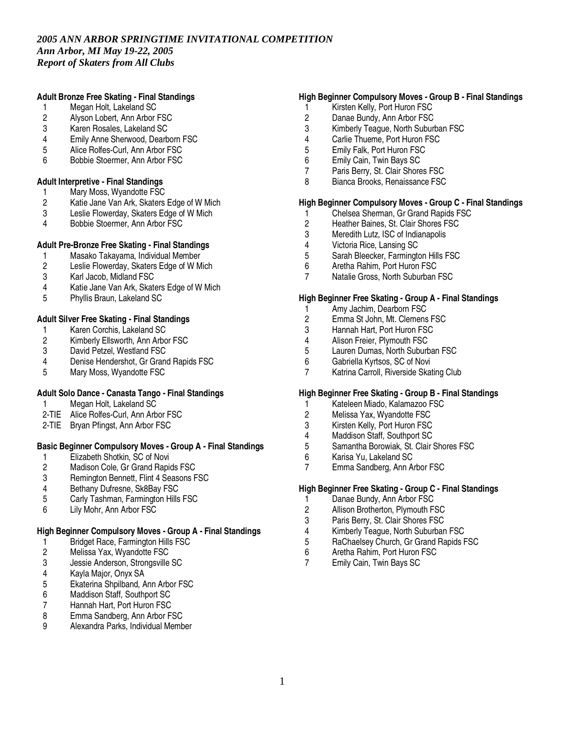## **Adult Bronze Free Skating - Final Standings**

- 1 Megan Holt, Lakeland SC
- 2 Alyson Lobert, Ann Arbor FSC<br>3 Karen Rosales. Lakeland SC
- 3 Karen Rosales, Lakeland SC
- 4 Emily Anne Sherwood, Dearborn FSC
- 5 Alice Rolfes-Curl, Ann Arbor FSC<br>6 Bobbie Stoermer, Ann Arbor FSC
- 6 Bobbie Stoermer, Ann Arbor FSC

#### **Adult Interpretive - Final Standings**

- 
- 1 Mary Moss, Wyandotte FSC<br>2 Katie Jane Van Ark, Skaters 2 Katie Jane Van Ark, Skaters Edge of W Mich
- Leslie Flowerday, Skaters Edge of W Mich
- 4 Bobbie Stoermer, Ann Arbor FSC

## **Adult Pre-Bronze Free Skating - Final Standings**

- 1 Masako Takayama, Individual Member<br>2 Leslie Flowerdav. Skaters Edge of W M
- 2 Leslie Flowerday, Skaters Edge of W Mich
- Karl Jacob, Midland FSC
- 4 Katie Jane Van Ark, Skaters Edge of W Mich
- 5 Phyllis Braun, Lakeland SC

## **Adult Silver Free Skating - Final Standings**

- 1 Karen Corchis, Lakeland SC<br>2 Kimberly Ellsworth, Ann Arbo
- 2 Kimberly Ellsworth, Ann Arbor FSC<br>3 David Petzel, Westland FSC
- David Petzel, Westland FSC
- 4 Denise Hendershot, Gr Grand Rapids FSC
- Mary Moss, Wyandotte FSC

## **Adult Solo Dance - Canasta Tango - Final Standings**

- 1 Megan Holt, Lakeland SC
- 2-TIE Alice Rolfes-Curl, Ann Arbor FSC
- 2-TIE Bryan Pfingst, Ann Arbor FSC

## **Basic Beginner Compulsory Moves - Group A - Final Standings**

- 1 Elizabeth Shotkin, SC of Novi<br>2 Madison Cole, Gr Grand Rapid
- 2 Madison Cole, Gr Grand Rapids FSC<br>3 Reminaton Bennett. Flint 4 Seasons F
- 3 Remington Bennett, Flint 4 Seasons FSC<br>4 Bethany Dufresne, Sk8Bay FSC
- 4 Bethany Dufresne, Sk8Bay FSC<br>5 Carly Tashman. Farmington Hills
- 5 Carly Tashman, Farmington Hills FSC
- 6 Lily Mohr, Ann Arbor FSC

## **High Beginner Compulsory Moves - Group A - Final Standings**

- 1 Bridget Race, Farmington Hills FSC<br>2 Melissa Yax, Wyandotte FSC
- 2 Melissa Yax, Wyandotte FSC
- 3 Jessie Anderson, Strongsville SC<br>4 Kayla Major, Onyx SA
- 
- 4 Kayla Major, Onyx SA 5 Ekaterina Shpilband, Ann Arbor FSC
- 6 Maddison Staff, Southport SC
- 7 Hannah Hart, Port Huron FSC<br>8 Emma Sandberg. Ann Arbor F
- 
- 8 Emma Sandberg, Ann Arbor FSC<br>9 Alexandra Parks, Individual Memb 9 Alexandra Parks, Individual Member

## **High Beginner Compulsory Moves - Group B - Final Standings**

- 1 Kirsten Kelly, Port Huron FSC
- 2 Danae Bundy, Ann Arbor FSC<br>3 Kimberly Teague. North Suburl
- Kimberly Teague, North Suburban FSC
- 4 Carlie Thueme, Port Huron FSC
- 5 Emily Falk, Port Huron FSC<br>6 Emily Cain, Twin Bays SC
- 6 Emily Cain, Twin Bays SC
- 7 Paris Berry, St. Clair Shores FSC
- 8 Bianca Brooks, Renaissance FSC

# **High Beginner Compulsory Moves - Group C - Final Standings**

- 1 Chelsea Sherman, Gr Grand Rapids FSC<br>2 Heather Baines, St. Clair Shores FSC
- 2 Heather Baines, St. Clair Shores FSC<br>3 Meredith Lutz, ISC of Indianapolis
- 3 Meredith Lutz, ISC of Indianapolis<br>4 Victoria Rice, Lansing SC
- 4 Victoria Rice, Lansing SC<br>5 Sarah Bleecker, Farmingt
- 5 Sarah Bleecker, Farmington Hills FSC<br>6 Aretha Rahim, Port Huron FSC
- 6 Aretha Rahim, Port Huron FSC
- Natalie Gross, North Suburban FSC

#### **High Beginner Free Skating - Group A - Final Standings**

- 1 Amy Jachim, Dearborn FSC<br>2 Emma St John. Mt. Clemens
- 2 Emma St John, Mt. Clemens FSC<br>3 Hannah Hart. Port Huron FSC
- 3 Hannah Hart, Port Huron FSC<br>4 Alison Freier. Plymouth FSC
- 4 Alison Freier, Plymouth FSC<br>5 Lauren Dumas, North Suburt
- 5 Lauren Dumas, North Suburban FSC
- 6 Gabriella Kyrtsos, SC of Novi
- Katrina Carroll, Riverside Skating Club

## **High Beginner Free Skating - Group B - Final Standings**

- 1 Kateleen Miado, Kalamazoo FSC
- 2 Melissa Yax, Wyandotte FSC
- 3 Kirsten Kelly, Port Huron FSC
- 4 Maddison Staff, Southport SC<br>5 Samantha Borowiak. St. Clair
- 5 Samantha Borowiak, St. Clair Shores FSC
- 
- 6 Karisa Yu, Lakeland SC Emma Sandberg, Ann Arbor FSC

#### **High Beginner Free Skating - Group C - Final Standings**

- 1 Danae Bundy, Ann Arbor FSC<br>2 Allison Brotherton, Plymouth F
- 2 Allison Brotherton, Plymouth FSC
- 3 Paris Berry, St. Clair Shores FSC
- 4 Kimberly Teague, North Suburban FSC
- 5 RaChaelsey Church, Gr Grand Rapids FSC<br>6 Aretha Rahim. Port Huron FSC
- 6 Aretha Rahim, Port Huron FSC<br>7 Emily Cain. Twin Bays SC
- Emily Cain, Twin Bays SC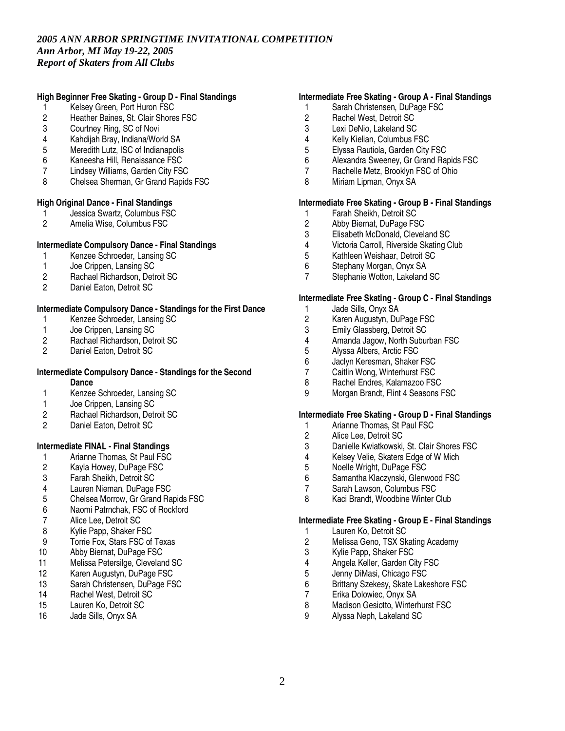## **High Beginner Free Skating - Group D - Final Standings**

- 1 Kelsey Green, Port Huron FSC
- 2 Heather Baines, St. Clair Shores FSC<br>3 Courtney Ring. SC of Novi
- Courtney Ring, SC of Novi
- 4 Kahdijah Bray, Indiana/World SA
- 5 Meredith Lutz, ISC of Indianapolis<br>6 Kaneesha Hill, Renaissance FSC
- 6 Kaneesha Hill, Renaissance FSC
- 7 Lindsey Williams, Garden City FSC
- 8 Chelsea Sherman, Gr Grand Rapids FSC

#### **High Original Dance - Final Standings**

- 1 Jessica Swartz, Columbus FSC<br>2 Amelia Wise. Columbus FSC
- 2 Amelia Wise, Columbus FSC

## **Intermediate Compulsory Dance - Final Standings**

- 1 Kenzee Schroeder, Lansing SC<br>1 Joe Crippen, Lansing SC
- 1 Joe Crippen, Lansing SC<br>2 Rachael Richardson, Deti
- 2 Rachael Richardson, Detroit SC<br>2 Daniel Eaton. Detroit SC
- Daniel Eaton, Detroit SC

## **Intermediate Compulsory Dance - Standings for the First Dance**

- 1 Kenzee Schroeder, Lansing SC<br>1 Joe Crippen. Lansing SC
- 1 Joe Crippen, Lansing SC<br>2 Rachael Richardson, Deti
- 2 Rachael Richardson, Detroit SC<br>2 Daniel Eaton, Detroit SC
- Daniel Eaton, Detroit SC

#### **Intermediate Compulsory Dance - Standings for the Second Dance**

- 1 Kenzee Schroeder, Lansing SC
- 1 Joe Crippen, Lansing SC
- 2 Rachael Richardson, Detroit SC
- 2 Daniel Eaton, Detroit SC

## **Intermediate FINAL - Final Standings**

- 1 Arianne Thomas, St Paul FSC<br>2 Kayla Howey, DuPage FSC
- 2 Kayla Howey, DuPage FSC<br>3 Farah Sheikh. Detroit SC
- 3 Farah Sheikh, Detroit SC
- 4 Lauren Nieman, DuPage FSC<br>5 Chelsea Morrow. Gr Grand Ra
- 5 Chelsea Morrow, Gr Grand Rapids FSC
- 6 Naomi Patrnchak, FSC of Rockford
- Alice Lee, Detroit SC
- 8 Kylie Papp, Shaker FSC
- 9 Torrie Fox, Stars FSC of Texas<br>10 Abby Biernat. DuPage FSC
- Abby Biernat, DuPage FSC
- 11 Melissa Petersilge, Cleveland SC
- 12 Karen Augustyn, DuPage FSC<br>13 Sarah Christensen, DuPage FS
- Sarah Christensen, DuPage FSC
- 14 Rachel West, Detroit SC
- 15 Lauren Ko, Detroit SC
- 16 Jade Sills, Onyx SA

### **Intermediate Free Skating - Group A - Final Standings**

- 1 Sarah Christensen, DuPage FSC
- 2 Rachel West, Detroit SC<br>3 Lexi DeNio. Lakeland SC
- Lexi DeNio, Lakeland SC
- 4 Kelly Kielian, Columbus FSC<br>5 Elvssa Rautiola. Garden Citv
- 5 Elyssa Rautiola, Garden City FSC<br>6 Alexandra Sweeney, Gr Grand Rai
- 6 Alexandra Sweeney, Gr Grand Rapids FSC
- 7 Rachelle Metz, Brooklyn FSC of Ohio
- 8 Miriam Lipman, Onyx SA

## **Intermediate Free Skating - Group B - Final Standings**

- 1 Farah Sheikh, Detroit SC<br>2 Abby Biernat. DuPage FS
- 2 Abby Biernat, DuPage FSC<br>3 Elisabeth McDonald, Clevel
- 3 Elisabeth McDonald, Cleveland SC<br>4 Victoria Carroll, Riverside Skating C
- 4 Victoria Carroll, Riverside Skating Club<br>5 Kathleen Weishaar. Detroit SC
- 5 Kathleen Weishaar, Detroit SC<br>6 Stephany Morgan, Onyx SA
- 6 Stephany Morgan, Onyx SA
- Stephanie Wotton, Lakeland SC

#### **Intermediate Free Skating - Group C - Final Standings**

- 1 Jade Sills, Onyx SA
- 2 Karen Augustyn, DuPage FSC<br>3 Emily Glassberg, Detroit SC
- 3 Emily Glassberg, Detroit SC<br>4 Amanda Jagow. North Subur
- 4 Amanda Jagow, North Suburban FSC<br>5 Alyssa Albers, Arctic FSC
- 5 Alyssa Albers, Arctic FSC
- 6 Jaclyn Keresman, Shaker FSC<br>7 Caitlin Wong. Winterhurst FSC
- 7 Caitlin Wong, Winterhurst FSC<br>8 Rachel Endres. Kalamazoo FS
- Rachel Endres, Kalamazoo FSC
- 9 Morgan Brandt, Flint 4 Seasons FSC

#### **Intermediate Free Skating - Group D - Final Standings**

- 1 Arianne Thomas, St Paul FSC
- 2 Alice Lee, Detroit SC<br>3 Danielle Kwiatkowski
- 3 Danielle Kwiatkowski, St. Clair Shores FSC<br>4 Kelsey Velie, Skaters Edge of W Mich
- 4 Kelsey Velie, Skaters Edge of W Mich<br>5 Noelle Wright, DuPage FSC
- 5 Noelle Wright, DuPage FSC<br>6 Samantha Klaczynski, Gleny
- 6 Samantha Klaczynski, Glenwood FSC
- Sarah Lawson, Columbus FSC
- 8 Kaci Brandt, Woodbine Winter Club

#### **Intermediate Free Skating - Group E - Final Standings**

- 1 Lauren Ko, Detroit SC
- 2 Melissa Geno, TSX Skating Academy<br>3 Kylie Papp, Shaker FSC
- 
- 3 Kylie Papp, Shaker FSC<br>4 Angela Keller, Garden Ci 4 Angela Keller, Garden City FSC<br>5 Jenny DiMasi, Chicago FSC
- 5 Jenny DiMasi, Chicago FSC<br>6 Brittany Szekesy, Skate Lake
- 6 Brittany Szekesy, Skate Lakeshore FSC
- 7 Erika Dolowiec, Onyx SA
- 8 Madison Gesiotto, Winterhurst FSC<br>9 Alyssa Neph, Lakeland SC
- 9 Alyssa Neph, Lakeland SC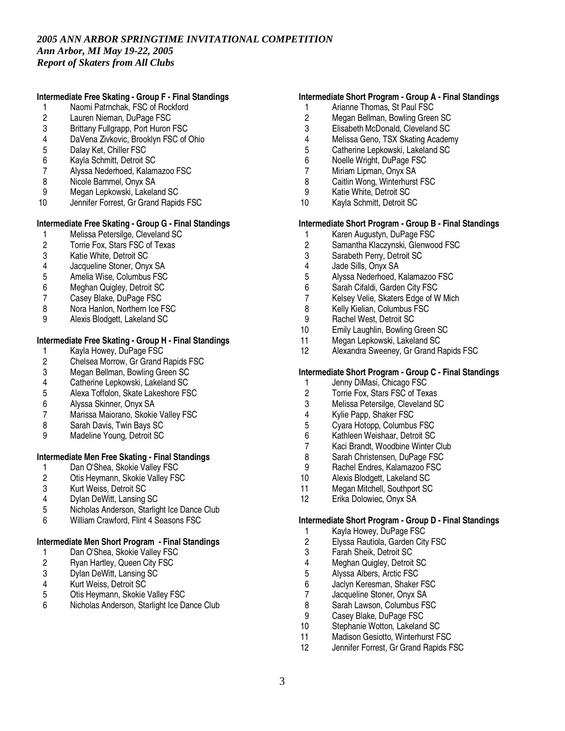## **Intermediate Free Skating - Group F - Final Standings**

- 1 Naomi Patrnchak, FSC of Rockford<br>2 Lauren Nieman, DuPage FSC
- 2 Lauren Nieman, DuPage FSC<br>3 Brittany Fullgrapp. Port Huron
- Brittany Fullgrapp, Port Huron FSC
- 4 DaVena Zivkovic, Brooklyn FSC of Ohio
- 5 Dalay Ket, Chiller FSC<br>6 Kavla Schmitt, Detroit 9
- 6 Kayla Schmitt, Detroit SC
- 7 Alyssa Nederhoed, Kalamazoo FSC
- 8 Nicole Bammel, Onyx SA
- 9 Megan Lepkowski, Lakeland SC<br>10 Jennifer Forrest. Gr Grand Rapid
- Jennifer Forrest, Gr Grand Rapids FSC

## **Intermediate Free Skating - Group G - Final Standings**

- 1 Melissa Petersilge, Cleveland SC<br>2 Torrie Fox. Stars FSC of Texas
- 2 Torrie Fox, Stars FSC of Texas
- 3 Katie White, Detroit SC<br>4 Jacqueline Stoner. Onv.
- 
- 4 Jacqueline Stoner, Onyx SA 5 Amelia Wise, Columbus FSC
- 6 Meghan Quigley, Detroit SC
- 7 Casey Blake, DuPage FSC
- 8 Nora Hanlon, Northern Ice FSC
- 9 Alexis Blodgett, Lakeland SC

# **Intermediate Free Skating - Group H - Final Standings**

- 1 Kayla Howey, DuPage FSC<br>2 Chelsea Morrow, Gr Grand I
- 2 Chelsea Morrow, Gr Grand Rapids FSC<br>3 Megan Bellman, Bowling Green SC
- 3 Megan Bellman, Bowling Green SC<br>4 Catherine Lepkowski, Lakeland SC
- Catherine Lepkowski, Lakeland SC
- 5 Alexa Toffolon, Skate Lakeshore FSC
- 6 Alyssa Skinner, Onyx SA
- 7 Marissa Maiorano, Skokie Valley FSC
- 8 Sarah Davis, Twin Bays SC
- 9 Madeline Young, Detroit SC

## **Intermediate Men Free Skating - Final Standings**

- 1 Dan O'Shea, Skokie Valley FSC<br>2 Otis Heymann, Skokie Valley FS
- 2 Otis Heymann, Skokie Valley FSC<br>3 Kurt Weiss, Detroit SC
- Kurt Weiss, Detroit SC
- 4 Dylan DeWitt, Lansing SC
- 5 Nicholas Anderson, Starlight Ice Dance Club
- 6 William Crawford, Flint 4 Seasons FSC

## **Intermediate Men Short Program - Final Standings**

- 1 Dan O'Shea, Skokie Valley FSC<br>2 Ryan Hartley, Queen City FSC
- 2 Ryan Hartley, Queen City FSC<br>3 Dylan DeWitt, Lansing SC
- 3 Dylan DeWitt, Lansing SC<br>4 Kurt Weiss, Detroit SC
- 4 Kurt Weiss, Detroit SC<br>5 Otis Heymann, Skokie
- 5 Otis Heymann, Skokie Valley FSC
- 6 Nicholas Anderson, Starlight Ice Dance Club

### **Intermediate Short Program - Group A - Final Standings**

- 1 Arianne Thomas, St Paul FSC
- 2 Megan Bellman, Bowling Green SC<br>3 Elisabeth McDonald, Cleveland SC
- 3 Elisabeth McDonald, Cleveland SC
- 4 Melissa Geno, TSX Skating Academy
- 5 Catherine Lepkowski, Lakeland SC<br>6 Noelle Wright, DuPage FSC
- 6 Noelle Wright, DuPage FSC
- 7 Miriam Lipman, Onyx SA
- 8 Caitlin Wong, Winterhurst FSC
- 9 Katie White, Detroit SC
- 10 Kayla Schmitt, Detroit SC

### **Intermediate Short Program - Group B - Final Standings**

- 1 Karen Augustyn, DuPage FSC<br>2 Samantha Klaczynski, Glenwod
- Samantha Klaczynski, Glenwood FSC
- 3 Sarabeth Perry, Detroit SC<br>4 Jade Sills, Onvx SA
- 4 Jade Sills, Onyx SA
- 5 Alyssa Nederhoed, Kalamazoo FSC
- 6 Sarah Cifaldi, Garden City FSC
- 7 Kelsey Velie, Skaters Edge of W Mich
- 8 Kelly Kielian, Columbus FSC
- 9 Rachel West, Detroit SC<br>10 Emily Laughlin, Bowling
- 10 Emily Laughlin, Bowling Green SC<br>11 Megan Lepkowski, Lakeland SC
- Megan Lepkowski, Lakeland SC
- 12 Alexandra Sweeney, Gr Grand Rapids FSC

## **Intermediate Short Program - Group C - Final Standings**

- 1 Jenny DiMasi, Chicago FSC
- 2 Torrie Fox, Stars FSC of Texas<br>3 Melissa Petersilge, Cleveland St
- 3 Melissa Petersilge, Cleveland SC
- 4 Kylie Papp, Shaker FSC
- 5 Cyara Hotopp, Columbus FSC
- 6 Kathleen Weishaar, Detroit SC
- 7 Kaci Brandt, Woodbine Winter Club<br>8 Sarah Christensen, DuPage FSC
- 8 Sarah Christensen, DuPage FSC<br>9 Rachel Endres, Kalamazoo FSC
- 9 Rachel Endres, Kalamazoo FSC<br>10 Alexis Blodgett, Lakeland SC
- Alexis Blodgett, Lakeland SC
- 11 Megan Mitchell, Southport SC
- 12 Erika Dolowiec, Onyx SA

#### **Intermediate Short Program - Group D - Final Standings**

- 1 Kayla Howey, DuPage FSC
- 2 Elyssa Rautiola, Garden City FSC<br>3 Farah Sheik. Detroit SC
- 3 Farah Sheik, Detroit SC
- 4 Meghan Quigley, Detroit SC<br>5 Alvssa Albers, Arctic FSC
- 5 Alyssa Albers, Arctic FSC<br>6 Jaclyn Keresman, Shaker
- 6 Jaclyn Keresman, Shaker FSC
- 7 Jacqueline Stoner, Onyx SA<br>8 Sarah Lawson. Columbus FS
- 8 Sarah Lawson, Columbus FSC<br>9 Casev Blake, DuPage FSC
- 9 Casey Blake, DuPage FSC<br>10 Stephanie Wotton, Lakeland
- Stephanie Wotton, Lakeland SC
- 11 Madison Gesiotto, Winterhurst FSC
- 12 Jennifer Forrest, Gr Grand Rapids FSC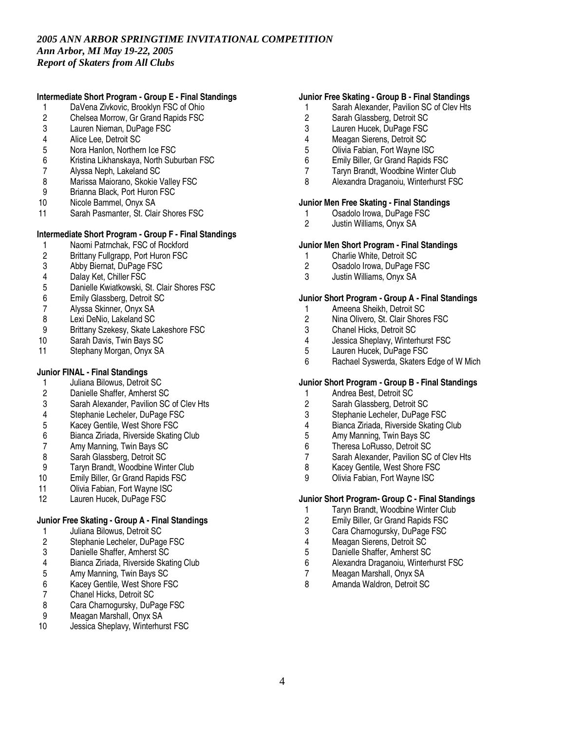# **Intermediate Short Program - Group E - Final Standings**

- 1 DaVena Zivkovic, Brooklyn FSC of Ohio<br>2 Chelsea Morrow, Gr Grand Rapids FSC
- 2 Chelsea Morrow, Gr Grand Rapids FSC<br>3 Lauren Nieman. DuPage FSC
- Lauren Nieman, DuPage FSC
- 4 Alice Lee, Detroit SC
- 5 Nora Hanlon, Northern Ice FSC<br>6 Kristina Likhanskava, North Sub
- 6 Kristina Likhanskaya, North Suburban FSC
- 7 Alyssa Neph, Lakeland SC
- 8 Marissa Maiorano, Skokie Valley FSC<br>9 Brianna Black. Port Huron FSC
- Brianna Black, Port Huron FSC
- 10 Nicole Bammel, Onyx SA
- 11 Sarah Pasmanter, St. Clair Shores FSC

## **Intermediate Short Program - Group F - Final Standings**

- 1 Naomi Patrnchak, FSC of Rockford<br>2 Brittany Fullgrapp, Port Huron FSC
- 2 Brittany Fullgrapp, Port Huron FSC<br>3 Abby Biernat. DuPage FSC
- 3 Abby Biernat, DuPage FSC
- 4 Dalay Ket, Chiller FSC<br>5 Danielle Kwiatkowski.
- 5 Danielle Kwiatkowski, St. Clair Shores FSC
- 6 Emily Glassberg, Detroit SC
- 7 Alyssa Skinner, Onyx SA
- 8 Lexi DeNio, Lakeland SC<br>9 Brittany Szekesy, Skate L
- 9 Brittany Szekesy, Skate Lakeshore FSC<br>10 Sarah Davis, Twin Bays SC
- Sarah Davis, Twin Bays SC
- 11 Stephany Morgan, Onyx SA

# **Junior FINAL - Final Standings**

- 1 Juliana Bilowus, Detroit SC<br>2 Danielle Shaffer, Amherst S
- 2 Danielle Shaffer, Amherst SC<br>3 Sarah Alexander, Pavilion SC
- Sarah Alexander, Pavilion SC of Clev Hts
- 4 Stephanie Lecheler, DuPage FSC
- 5 Kacey Gentile, West Shore FSC
- 6 Bianca Ziriada, Riverside Skating Club
- 
- 7 Amy Manning, Twin Bays SC<br>8 Sarah Glassberg, Detroit SC
- 8 Sarah Glassberg, Detroit SC<br>9 Tarvn Brandt, Woodbine Win
- 9 Taryn Brandt, Woodbine Winter Club<br>10 Emily Biller. Gr Grand Rapids FSC Emily Biller, Gr Grand Rapids FSC
- 11 Olivia Fabian, Fort Wayne ISC
- 12 Lauren Hucek, DuPage FSC

# **Junior Free Skating - Group A - Final Standings**

- 1 Juliana Bilowus, Detroit SC
- 2 Stephanie Lecheler, DuPage FSC<br>3 Danielle Shaffer, Amherst SC
- 3 Danielle Shaffer, Amherst SC<br>4 Bianca Ziriada, Riverside Ska
- Bianca Ziriada, Riverside Skating Club
- 5 Amy Manning, Twin Bays SC<br>6 Kacey Gentile, West Shore F.
- 6 Kacey Gentile, West Shore FSC<br>7 Chanel Hicks, Detroit SC
- 7 Chanel Hicks, Detroit SC<br>8 Cara Charnogursky, DuP
- 8 Cara Charnogursky, DuPage FSC<br>9 Meagan Marshall. Onvx SA
- 9 Meagan Marshall, Onyx SA<br>10 Jessica Sheplavy, Winterhur
- Jessica Sheplavy, Winterhurst FSC

### **Junior Free Skating - Group B - Final Standings**

- 1 Sarah Alexander, Pavilion SC of Clev Hts
- 2 Sarah Glassberg, Detroit SC<br>3 Lauren Hucek. DuPage FSC
- Lauren Hucek, DuPage FSC
- 4 Meagan Sierens, Detroit SC
- 5 Olivia Fabian, Fort Wayne ISC<br>6 Emily Biller. Gr Grand Rapids F
- 6 Emily Biller, Gr Grand Rapids FSC
- 7 Taryn Brandt, Woodbine Winter Club
- 8 Alexandra Draganoiu, Winterhurst FSC

## **Junior Men Free Skating - Final Standings**

- 1 Osadolo Irowa, DuPage FSC<br>2 Justin Williams. Onvx SA
- 2 Justin Williams, Onyx SA

## **Junior Men Short Program - Final Standings**

- 1 Charlie White, Detroit SC<br>2 Csadolo Irowa, DuPage F
- 2 Osadolo Irowa, DuPage FSC<br>3 Justin Williams. Onvx SA
- 3 Justin Williams, Onyx SA

## **Junior Short Program - Group A - Final Standings**

- 1 Ameena Sheikh, Detroit SC<br>2 Nina Olivero, St. Clair Shore
- 2 Nina Olivero, St. Clair Shores FSC<br>3 Chanel Hicks. Detroit SC
- 3 Chanel Hicks, Detroit SC<br>4 Jessica Sheplavy, Winter
- 4 Jessica Sheplavy, Winterhurst FSC<br>5 Lauren Hucek, DuPage FSC
- Lauren Hucek, DuPage FSC
- 6 Rachael Syswerda, Skaters Edge of W Mich

## **Junior Short Program - Group B - Final Standings**

- 1 Andrea Best, Detroit SC<br>2 Sarah Glassberg, Detroit
- Sarah Glassberg, Detroit SC
- 3 Stephanie Lecheler, DuPage FSC
- 4 Bianca Ziriada, Riverside Skating Club
- 5 Amy Manning, Twin Bays SC<br>6 Theresa LoRusso. Detroit SC
- 6 Theresa LoRusso, Detroit SC
- 7 Sarah Alexander, Pavilion SC of Clev Hts<br>8 Kacev Gentile. West Shore FSC
- 8 Kacey Gentile, West Shore FSC<br>9 Olivia Fabian Fort Wayne ISC
- 9 Olivia Fabian, Fort Wayne ISC

## **Junior Short Program- Group C - Final Standings**

- 1 Taryn Brandt, Woodbine Winter Club
- 2 Emily Biller, Gr Grand Rapids FSC<br>3 Cara Charnogursky, DuPage FSC
- Cara Charnogursky, DuPage FSC
- 4 Meagan Sierens, Detroit SC<br>5 Danielle Shaffer. Amherst SC
- 5 Danielle Shaffer, Amherst SC<br>6 Alexandra Draganoiu, Winterh
- 6 Alexandra Draganoiu, Winterhurst FSC
- 7 Meagan Marshall, Onyx SA
- Amanda Waldron, Detroit SC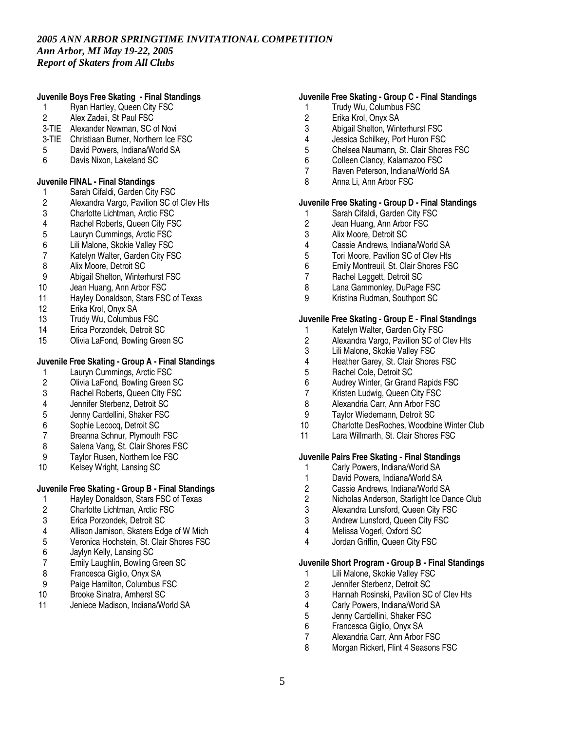### **Juvenile Boys Free Skating - Final Standings**

- 1 Ryan Hartley, Queen City FSC
- 2 Alex Zadeii, St Paul FSC
- 3-TIE Alexander Newman, SC of Novi
- 3-TIE Christiaan Burner, Northern Ice FSC
- 5 David Powers, Indiana/World SA<br>6 Davis Nixon, Lakeland SC
- Davis Nixon, Lakeland SC

## **Juvenile FINAL - Final Standings**

- 1 Sarah Cifaldi, Garden City FSC<br>2 Alexandra Vargo, Pavilion SC of
- 2 Alexandra Vargo, Pavilion SC of Clev Hts<br>3 Charlotte Lichtman, Arctic FSC
- Charlotte Lichtman, Arctic FSC
- 4 Rachel Roberts, Queen City FSC<br>5 Laurvn Cummings. Arctic FSC
- 5 Lauryn Cummings, Arctic FSC<br>6 Lili Malone, Skokie Vallev FSC
- Lili Malone, Skokie Valley FSC
- 7 Katelyn Walter, Garden City FSC<br>8 Alix Moore, Detroit SC
- 
- 8 Alix Moore, Detroit SC<br>9 Abigail Shelton, Winter 9 Abigail Shelton, Winterhurst FSC
- 10 Jean Huang, Ann Arbor FSC
- 11 Hayley Donaldson, Stars FSC of Texas
- 12 Erika Krol, Onyx SA
- 13 Trudy Wu, Columbus FSC<br>14 Erica Porzondek, Detroit St
- 14 Erica Porzondek, Detroit SC<br>15 Olivia LaFond. Bowling Gree
- 15 Olivia LaFond, Bowling Green SC

# **Juvenile Free Skating - Group A - Final Standings**

- 1 Lauryn Cummings, Arctic FSC<br>2 Olivia LaFond. Bowling Green
- 2 Olivia LaFond, Bowling Green SC
- 3 Rachel Roberts, Queen City FSC
- 4 Jennifer Sterbenz, Detroit SC
- 5 Jenny Cardellini, Shaker FSC
- 6 Sophie Lecocq, Detroit SC
- 7 Breanna Schnur, Plymouth FSC<br>8 Salena Vang, St. Clair Shores F.
- 8 Salena Vang, St. Clair Shores FSC<br>9 Taylor Rusen, Northern Ice FSC
- Taylor Rusen, Northern Ice FSC
- 10 Kelsey Wright, Lansing SC

# **Juvenile Free Skating - Group B - Final Standings**

- 1 Hayley Donaldson, Stars FSC of Texas<br>2 Charlotte Lichtman. Arctic FSC
- 2 Charlotte Lichtman, Arctic FSC<br>3 Erica Porzondek, Detroit SC
- 3 Erica Porzondek, Detroit SC
- 4 Allison Jamison, Skaters Edge of W Mich
- 5 Veronica Hochstein, St. Clair Shores FSC<br>6 Javlyn Kelly. Lansing SC
- 6 Jaylyn Kelly, Lansing SC
- 7 Emily Laughlin, Bowling Green SC<br>8 Francesca Giglio, Onvx SA
- 8 Francesca Giglio, Onyx SA<br>9 Paige Hamilton, Columbus
- Paige Hamilton, Columbus FSC
- 10 Brooke Sinatra, Amherst SC
- 11 Jeniece Madison, Indiana/World SA

## **Juvenile Free Skating - Group C - Final Standings**

- 1 Trudy Wu, Columbus FSC
- 2 Erika Krol, Onyx SA<br>3 Abigail Shelton, Wint
- Abigail Shelton, Winterhurst FSC
- 4 Jessica Schilkey, Port Huron FSC<br>5 Chelsea Naumann. St. Clair Shore
- 5 Chelsea Naumann, St. Clair Shores FSC<br>6 Colleen Clancy, Kalamazoo FSC
- 6 Colleen Clancy, Kalamazoo FSC
- 7 Raven Peterson, Indiana/World SA
- 8 Anna Li, Ann Arbor FSC

## **Juvenile Free Skating - Group D - Final Standings**

- 1 Sarah Cifaldi, Garden City FSC<br>2 Jean Huang, Ann Arbor FSC
- 2 Jean Huang, Ann Arbor FSC<br>3 Alix Moore, Detroit SC
- 3 Alix Moore, Detroit SC
- 4 Cassie Andrews, Indiana/World SA<br>5 Tori Moore. Pavilion SC of Clev Hts
- 5 Tori Moore, Pavilion SC of Clev Hts<br>6 Emily Montreuil, St. Clair Shores FS
- 6 Emily Montreuil, St. Clair Shores FSC
- Rachel Leggett, Detroit SC
- 8 Lana Gammonley, DuPage FSC
- 9 Kristina Rudman, Southport SC

## **Juvenile Free Skating - Group E - Final Standings**

- 1 Katelyn Walter, Garden City FSC<br>2 Alexandra Vargo, Pavilion SC of 0
- 2 Alexandra Vargo, Pavilion SC of Clev Hts<br>3 Lili Malone, Skokie Valley FSC
- 3 Lili Malone, Skokie Valley FSC<br>4 Heather Garev, St. Clair Shores
- 4 Heather Garey, St. Clair Shores FSC<br>5 Rachel Cole. Detroit SC
- 5 Rachel Cole, Detroit SC<br>6 Audrey Winter. Gr Grand
- 6 Audrey Winter, Gr Grand Rapids FSC<br>7 Kristen Ludwig, Queen City FSC
- 7 Kristen Ludwig, Queen City FSC<br>8 Alexandria Carr, Ann Arbor FSC
- Alexandria Carr, Ann Arbor FSC
- 9 Taylor Wiedemann, Detroit SC
- 10 Charlotte DesRoches, Woodbine Winter Club
- 11 Lara Willmarth, St. Clair Shores FSC

# **Juvenile Pairs Free Skating - Final Standings**

- 
- 1 Carly Powers, Indiana/World SA<br>1 David Powers, Indiana/World SA
- 1 David Powers, Indiana/World SA<br>2 Cassie Andrews, Indiana/World S
- 2 Cassie Andrews, Indiana/World SA<br>2 Nicholas Anderson. Starlight Ice Da Nicholas Anderson, Starlight Ice Dance Club
- 
- 3 Alexandra Lunsford, Queen City FSC Andrew Lunsford, Queen City FSC
- 4 Melissa Vogerl, Oxford SC
- 4 Jordan Griffin, Queen City FSC

## **Juvenile Short Program - Group B - Final Standings**

- 1 Lili Malone, Skokie Valley FSC<br>2 Jennifer Sterbenz, Detroit SC
- 2 Jennifer Sterbenz, Detroit SC<br>3 Hannah Rosinski, Pavilion SC
- 3 Hannah Rosinski, Pavilion SC of Clev Hts
- 4 Carly Powers, Indiana/World SA<br>5 Jenny Cardellini, Shaker FSC
- 5 Jenny Cardellini, Shaker FSC<br>6 Francesca Giglio, Onvx SA
- 6 Francesca Giglio, Onyx SA
- 7 Alexandria Carr, Ann Arbor FSC<br>8 Morgan Rickert Flint 4 Seasons
- Morgan Rickert, Flint 4 Seasons FSC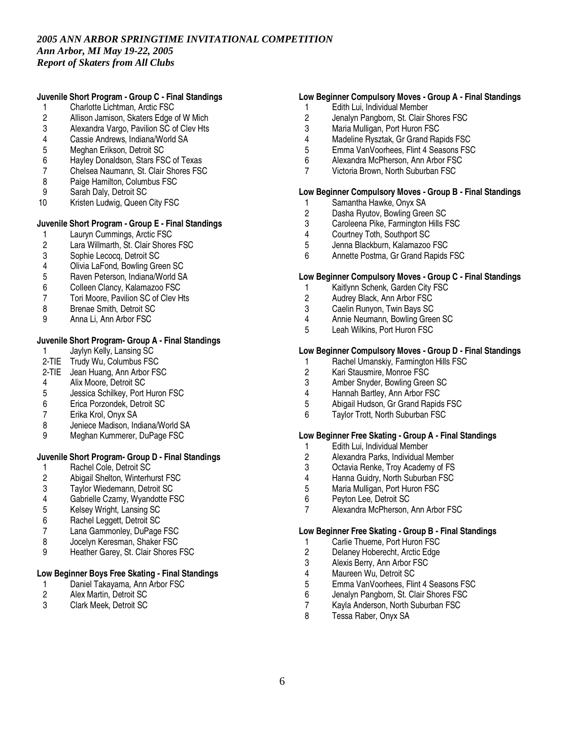## **Juvenile Short Program - Group C - Final Standings**

- 1 Charlotte Lichtman, Arctic FSC
- 2 Allison Jamison, Skaters Edge of W Mich<br>3 Alexandra Vargo, Pavilion SC of Clev Hts
- Alexandra Vargo, Pavilion SC of Clev Hts
- 4 Cassie Andrews, Indiana/World SA
- 5 Meghan Erikson, Detroit SC<br>6 Havlev Donaldson, Stars FS
- Hayley Donaldson, Stars FSC of Texas
- 7 Chelsea Naumann, St. Clair Shores FSC
- 8 Paige Hamilton, Columbus FSC
- 9 Sarah Daly, Detroit SC<br>10 Kristen Ludwig, Queen
- Kristen Ludwig, Queen City FSC

## **Juvenile Short Program - Group E - Final Standings**

- 1 Lauryn Cummings, Arctic FSC<br>2 Lara Willmarth. St. Clair Shore
- Lara Willmarth, St. Clair Shores FSC
- 3 Sophie Lecocq, Detroit SC<br>4 Olivia LaFond, Bowling Gre
- 4 Olivia LaFond, Bowling Green SC<br>5 Raven Peterson, Indiana/World SA
- 5 Raven Peterson, Indiana/World SA
- 6 Colleen Clancy, Kalamazoo FSC
- 7 Tori Moore, Pavilion SC of Clev Hts
- 8 Brenae Smith, Detroit SC
- 9 Anna Li, Ann Arbor FSC

## **Juvenile Short Program- Group A - Final Standings**

- 1 Jaylyn Kelly, Lansing SC
- 2-TIE Trudy Wu, Columbus FSC
- 2-TIE Jean Huang, Ann Arbor FSC
- 4 Alix Moore, Detroit SC
- 5 Jessica Schilkey, Port Huron FSC
- 6 Erica Porzondek, Detroit SC
- 7 Erika Krol, Onyx SA
- 8 Jeniece Madison, Indiana/World SA
- 9 Meghan Kummerer, DuPage FSC

# **Juvenile Short Program- Group D - Final Standings**

- 1 Rachel Cole, Detroit SC<br>2 Abigail Shelton, Winterhu
- 2 Abigail Shelton, Winterhurst FSC<br>3 Tavlor Wiedemann, Detroit SC
- Taylor Wiedemann, Detroit SC
- 4 Gabrielle Czarny, Wyandotte FSC
- 5 Kelsey Wright, Lansing SC<br>6 Rachel Leggett, Detroit SC
- 6 Rachel Leggett, Detroit SC
- 7 Lana Gammonley, DuPage FSC
- 8 Jocelyn Keresman, Shaker FSC<br>9 Heather Garey St. Clair Shores
- Heather Garey, St. Clair Shores FSC

# **Low Beginner Boys Free Skating - Final Standings**

- 1 Daniel Takayama, Ann Arbor FSC<br>2 Alex Martin, Detroit SC
- 2 Alex Martin, Detroit SC
- 3 Clark Meek, Detroit SC

### **Low Beginner Compulsory Moves - Group A - Final Standings**

- 1 Edith Lui, Individual Member
- 2 Jenalyn Pangborn, St. Clair Shores FSC<br>3 Maria Mulligan. Port Huron FSC
- Maria Mulligan, Port Huron FSC
- 4 Madeline Rysztak, Gr Grand Rapids FSC
- 5 Emma VanVoorhees, Flint 4 Seasons FSC<br>6 Alexandra McPherson, Ann Arbor FSC
- 6 Alexandra McPherson, Ann Arbor FSC
- 7 Victoria Brown, North Suburban FSC

#### **Low Beginner Compulsory Moves - Group B - Final Standings**

- 1 Samantha Hawke, Onyx SA<br>2 Dasha Ryutov, Bowling Gree
- 2 Dasha Ryutov, Bowling Green SC<br>3 Caroleena Pike, Farmington Hills F
- 3 Caroleena Pike, Farmington Hills FSC<br>4 Courtney Toth. Southport SC
- 4 Courtney Toth, Southport SC<br>5 Jenna Blackburn, Kalamazoo
- 5 Jenna Blackburn, Kalamazoo FSC
- 6 Annette Postma, Gr Grand Rapids FSC

## **Low Beginner Compulsory Moves - Group C - Final Standings**

- 1 Kaitlynn Schenk, Garden City FSC
- 2 Audrey Black, Ann Arbor FSC
- 3 Caelin Runyon, Twin Bays SC
- 4 Annie Neumann, Bowling Green SC<br>5 Leah Wilkins, Port Huron FSC
- Leah Wilkins, Port Huron FSC

#### **Low Beginner Compulsory Moves - Group D - Final Standings**

- 1 Rachel Umanskiy, Farmington Hills FSC<br>2 Kari Stausmire, Monroe FSC
- 
- 2 Kari Stausmire, Monroe FSC<br>3 Amber Snyder, Bowling Gree
- 3 Amber Snyder, Bowling Green SC<br>4 Hannah Bartley, Ann Arbor FSC 4 Hannah Bartley, Ann Arbor FSC<br>5 Abigail Hudson, Gr Grand Rapid
- 5 Abigail Hudson, Gr Grand Rapids FSC
- 6 Taylor Trott, North Suburban FSC

### **Low Beginner Free Skating - Group A - Final Standings**

- 1 Edith Lui, Individual Member<br>2 Alexandra Parks, Individual N
- 2 Alexandra Parks, Individual Member<br>3 Octavia Renke. Trov Academy of FS
- 3 Octavia Renke, Troy Academy of FS<br>4 Hanna Guidry. North Suburban FSC
- 4 Hanna Guidry, North Suburban FSC<br>5 Maria Mulligan. Port Huron FSC
- Maria Mulligan, Port Huron FSC
- 6 Peyton Lee, Detroit SC
- 7 Alexandra McPherson, Ann Arbor FSC

#### **Low Beginner Free Skating - Group B - Final Standings**

- 1 Carlie Thueme, Port Huron FSC<br>2 Delanev Hoberecht. Arctic Edge
- Delaney Hoberecht, Arctic Edge
- 3 Alexis Berry, Ann Arbor FSC<br>4 Maureen Wu, Detroit SC
- 4 Maureen Wu, Detroit SC<br>5 Emma VanVoorhees. Flir
- 5 Emma VanVoorhees, Flint 4 Seasons FSC<br>6 Jenalyn Pangborn, St. Clair Shores FSC
- 6 Jenalyn Pangborn, St. Clair Shores FSC
- 7 Kayla Anderson, North Suburban FSC<br>8 Tessa Raber, Onvx SA
- Tessa Raber, Onyx SA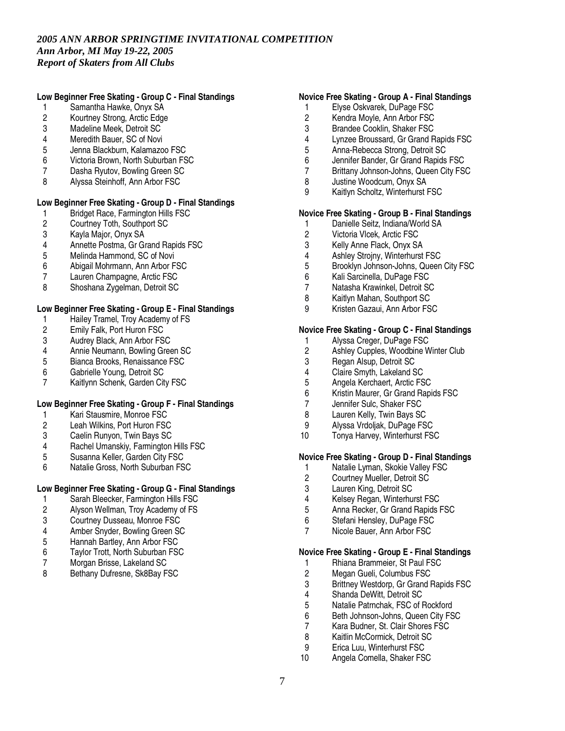## **Low Beginner Free Skating - Group C - Final Standings**

- 1 Samantha Hawke, Onyx SA
- 2 Kourtney Strong, Arctic Edge<br>3 Madeline Meek. Detroit SC
- Madeline Meek, Detroit SC
- 4 Meredith Bauer, SC of Novi
- 5 Jenna Blackburn, Kalamazoo FSC<br>6 Victoria Brown, North Suburban FS
- 6 Victoria Brown, North Suburban FSC
- 7 Dasha Ryutov, Bowling Green SC
- 8 Alyssa Steinhoff, Ann Arbor FSC

## **Low Beginner Free Skating - Group D - Final Standings**

- 1 Bridget Race, Farmington Hills FSC<br>2 Courtney Toth, Southport SC
- 2 Courtney Toth, Southport SC<br>3 Kavla Maior. Onvx SA
- 3 Kayla Major, Onyx SA
- 4 Annette Postma, Gr Grand Rapids FSC<br>5 Melinda Hammond, SC of Novi
- 5 Melinda Hammond, SC of Novi<br>6 Abigail Mohrmann, Ann Arbor F
- 6 Abigail Mohrmann, Ann Arbor FSC
- Lauren Champagne, Arctic FSC
- 8 Shoshana Zygelman, Detroit SC

## **Low Beginner Free Skating - Group E - Final Standings**

- 1 Hailey Tramel, Troy Academy of FS<br>2 Emily Falk, Port Huron FSC
- 2 Emily Falk, Port Huron FSC<br>3 Audrey Black, Ann Arbor FS
- 3 Audrey Black, Ann Arbor FSC<br>4 Annie Neumann, Bowling Gree
- 4 Annie Neumann, Bowling Green SC<br>5 Bianca Brooks. Renaissance FSC
- 5 Bianca Brooks, Renaissance FSC<br>6 Gabrielle Young, Detroit SC
- 6 Gabrielle Young, Detroit SC<br>7 Kaitlynn Schenk. Garden Cit
- Kaitlynn Schenk, Garden City FSC

#### **Low Beginner Free Skating - Group F - Final Standings**

- 1 Kari Stausmire, Monroe FSC
- 2 Leah Wilkins, Port Huron FSC
- 3 Caelin Runyon, Twin Bays SC
- 4 Rachel Umanskiy, Farmington Hills FSC<br>5 Susanna Keller, Garden City FSC
- 5 Susanna Keller, Garden City FSC
- 6 Natalie Gross, North Suburban FSC

## **Low Beginner Free Skating - Group G - Final Standings**

- 1 Sarah Bleecker, Farmington Hills FSC<br>2 Alyson Wellman, Troy Academy of FS
- 2 Alyson Wellman, Troy Academy of FS<br>3 Courtney Dusseau. Monroe FSC
- Courtney Dusseau, Monroe FSC
- 4 Amber Snyder, Bowling Green SC
- 5 Hannah Bartley, Ann Arbor FSC<br>6 Tavlor Trott. North Suburban FSC
- 6 Taylor Trott, North Suburban FSC
- 7 Morgan Brisse, Lakeland SC<br>8 Bethany Dufresne, Sk8Bay F
- Bethany Dufresne, Sk8Bay FSC

## **Novice Free Skating - Group A - Final Standings**

- 1 Elyse Oskvarek, DuPage FSC
- 2 Kendra Moyle, Ann Arbor FSC<br>3 Brandee Cooklin. Shaker FSC
- Brandee Cooklin, Shaker FSC
- 4 Lynzee Broussard, Gr Grand Rapids FSC
- 5 Anna-Rebecca Strong, Detroit SC<br>6 Jennifer Bander. Gr Grand Rapids
- Jennifer Bander, Gr Grand Rapids FSC
- 7 Brittany Johnson-Johns, Queen City FSC
- 8 Justine Woodcum, Onyx SA
- 9 Kaitlyn Scholtz, Winterhurst FSC

## **Novice Free Skating - Group B - Final Standings**

- 1 Danielle Seitz, Indiana/World SA<br>2 Victoria Vlcek. Arctic FSC
- 2 Victoria Vlcek, Arctic FSC<br>3 Kelly Anne Flack. Onvx S/
- 3 Kelly Anne Flack, Onyx SA
- 4 Ashley Strojny, Winterhurst FSC<br>5 Brooklyn Johnson-Johns, Queen
- 5 Brooklyn Johnson-Johns, Queen City FSC
- 6 Kali Sarcinella, DuPage FSC
- 7 Natasha Krawinkel, Detroit SC
- 8 Kaitlyn Mahan, Southport SC
- 9 Kristen Gazaui, Ann Arbor FSC

## **Novice Free Skating - Group C - Final Standings**

- 1 Alyssa Creger, DuPage FSC<br>2 Ashley Cupples, Woodbine W
- 2 Ashley Cupples, Woodbine Winter Club<br>3 Regan Alsup, Detroit SC
- 3 Regan Alsup, Detroit SC<br>4 Claire Smyth, Lakeland S
- 4 Claire Smyth, Lakeland SC<br>5 Angela Kerchaert, Arctic FS
- 5 Angela Kerchaert, Arctic FSC
- 6 Kristin Maurer, Gr Grand Rapids FSC
- Jennifer Sulc, Shaker FSC
- 8 Lauren Kelly, Twin Bays SC
- 9 Alyssa Vrdoljak, DuPage FSC
- 10 Tonya Harvey, Winterhurst FSC

### **Novice Free Skating - Group D - Final Standings**

- 1 Natalie Lyman, Skokie Valley FSC<br>2 Courtney Mueller. Detroit SC
- 2 Courtney Mueller, Detroit SC<br>3 Lauren King, Detroit SC
- Lauren King, Detroit SC
- 4 Kelsey Regan, Winterhurst FSC
- 5 Anna Recker, Gr Grand Rapids FSC
- 6 Stefani Hensley, DuPage FSC
- 7 Nicole Bauer, Ann Arbor FSC

## **Novice Free Skating - Group E - Final Standings**

- 1 Rhiana Brammeier, St Paul FSC<br>2 Megan Gueli, Columbus FSC
- 2 Megan Gueli, Columbus FSC<br>3 Brittnev Westdorp. Gr Grand I
- 3 Brittney Westdorp, Gr Grand Rapids FSC
- 4 Shanda DeWitt, Detroit SC
- 5 Natalie Patrnchak, FSC of Rockford
- 6 Beth Johnson-Johns, Queen City FSC<br>7 Kara Budner, St. Clair Shores FSC
- 7 Kara Budner, St. Clair Shores FSC
- 8 Kaitlin McCormick, Detroit SC
- 9 Erica Luu, Winterhurst FSC<br>10 Angela Comella Shaker FS
- Angela Comella, Shaker FSC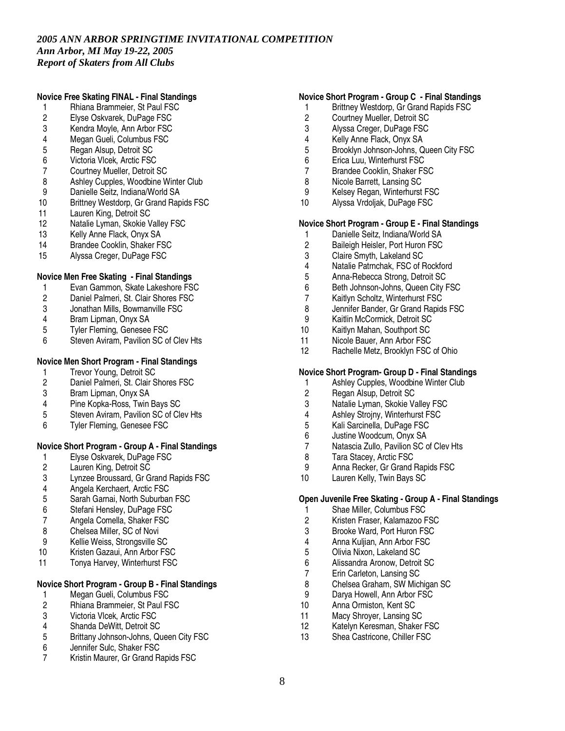## **Novice Free Skating FINAL - Final Standings**

- 1 Rhiana Brammeier, St Paul FSC
- 2 Elyse Oskvarek, DuPage FSC<br>3 Kendra Movle. Ann Arbor FSC
- Kendra Moyle, Ann Arbor FSC
- 4 Megan Gueli, Columbus FSC
- 5 Regan Alsup, Detroit SC<br>6 Victoria Vlcek. Arctic FSC
- Victoria Vlcek, Arctic FSC
- 7 Courtney Mueller, Detroit SC
- 8 Ashley Cupples, Woodbine Winter Club
- 9 Danielle Seitz, Indiana/World SA<br>10 Brittney Westdorp, Gr Grand Rap
- Brittney Westdorp, Gr Grand Rapids FSC
- 11 Lauren King, Detroit SC<br>12 Natalie Lyman, Skokie V
- 12 Natalie Lyman, Skokie Valley FSC<br>13 Kelly Anne Flack. Onvx SA
- 13 Kelly Anne Flack, Onyx SA<br>14 Brandee Cooklin, Shaker F.
- Brandee Cooklin, Shaker FSC
- 15 Alyssa Creger, DuPage FSC

## **Novice Men Free Skating - Final Standings**

- 1 Evan Gammon, Skate Lakeshore FSC
- 2 Daniel Palmeri, St. Clair Shores FSC
- 3 Jonathan Mills, Bowmanville FSC
- 4 Bram Lipman, Onyx SA<br>5 Tyler Fleming, Genesee
- 5 Tyler Fleming, Genesee FSC<br>6 Steven Aviram, Pavilion SC of
- Steven Aviram, Pavilion SC of Clev Hts

# **Novice Men Short Program - Final Standings**

- 1 Trevor Young, Detroit SC<br>2 Daniel Palmeri. St. Clair S
- Daniel Palmeri, St. Clair Shores FSC
- 3 Bram Lipman, Onyx SA
- 4 Pine Kopka-Ross, Twin Bays SC
- 5 Steven Aviram, Pavilion SC of Clev Hts
- 6 Tyler Fleming, Genesee FSC

## **Novice Short Program - Group A - Final Standings**

- 1 Elyse Oskvarek, DuPage FSC<br>2 Lauren King, Detroit SC
- 2 Lauren King, Detroit SC<br>3 Lynzee Broussard. Gr G
- 3 Lynzee Broussard, Gr Grand Rapids FSC<br>4 Angela Kerchaert. Arctic FSC
- 4 Angela Kerchaert, Arctic FSC<br>5 Sarah Garnai. North Suburbar
- 5 Sarah Garnai, North Suburban FSC
- 6 Stefani Hensley, DuPage FSC
- 7 Angela Comella, Shaker FSC
- 8 Chelsea Miller, SC of Novi
- 9 Kellie Weiss, Strongsville SC<br>10 Kristen Gazaui, Ann Arbor FS
- Kristen Gazaui, Ann Arbor FSC
- 11 Tonya Harvey, Winterhurst FSC

## **Novice Short Program - Group B - Final Standings**

- 1 Megan Gueli, Columbus FSC
- 2 Rhiana Brammeier, St Paul FSC<br>3 Victoria Vlcek. Arctic FSC
- 3 Victoria Vlcek, Arctic FSC<br>4 Shanda DeWitt. Detroit SC
- Shanda DeWitt, Detroit SC
- 5 Brittany Johnson-Johns, Queen City FSC
- 6 Jennifer Sulc, Shaker FSC<br>7 Kristin Maurer Gr Grand B
- 7 Kristin Maurer, Gr Grand Rapids FSC

#### **Novice Short Program - Group C - Final Standings**

- 1 Brittney Westdorp, Gr Grand Rapids FSC
- 2 Courtney Mueller, Detroit SC<br>3 Alvssa Creger, DuPage FSC
- 3 Alyssa Creger, DuPage FSC
- 4 Kelly Anne Flack, Onyx SA
- 5 Brooklyn Johnson-Johns, Queen City FSC<br>6 Erica Luu. Winterhurst FSC
- 6 Erica Luu, Winterhurst FSC
- 7 Brandee Cooklin, Shaker FSC
- 8 Nicole Barrett, Lansing SC
- 9 Kelsey Regan, Winterhurst FSC
- 10 Alyssa Vrdoljak, DuPage FSC

### **Novice Short Program - Group E - Final Standings**

- 1 Danielle Seitz, Indiana/World SA<br>2 Baileigh Heisler. Port Huron FSC
- 2 Baileigh Heisler, Port Huron FSC
- 3 Claire Smyth, Lakeland SC<br>4 Natalie Patrnchak, FSC of F
- 4 Natalie Patrnchak, FSC of Rockford<br>5 Anna-Rebecca Strong, Detroit SC
- 5 Anna-Rebecca Strong, Detroit SC
- 6 Beth Johnson-Johns, Queen City FSC
- 7 Kaitlyn Scholtz, Winterhurst FSC
- 8 Jennifer Bander, Gr Grand Rapids FSC
- 9 Kaitlin McCormick, Detroit SC<br>10 Kaitlyn Mahan, Southport SC
- 10 Kaitlyn Mahan, Southport SC<br>11 Nicole Bauer. Ann Arbor FSC
- Nicole Bauer, Ann Arbor FSC
- 12 Rachelle Metz, Brooklyn FSC of Ohio

## **Novice Short Program- Group D - Final Standings**

- 1 Ashley Cupples, Woodbine Winter Club
- 2 Regan Alsup, Detroit SC<br>3 Natalie Lyman, Skokie Va
- Natalie Lyman, Skokie Valley FSC
- 4 Ashley Strojny, Winterhurst FSC
- 5 Kali Sarcinella, DuPage FSC
- 6 Justine Woodcum, Onyx SA<br>7 Natascia Zullo Pavilion SC o
- 7 Natascia Zullo, Pavilion SC of Clev Hts<br>8 Tara Stacey, Arctic FSC
- 8 Tara Stacey, Arctic FSC<br>9 Anna Recker. Gr Grand
- 9 Anna Recker, Gr Grand Rapids FSC<br>10 Lauren Kelly. Twin Bays SC
- Lauren Kelly, Twin Bays SC

## **Open Juvenile Free Skating - Group A - Final Standings**

- 1 Shae Miller, Columbus FSC
- 2 Kristen Fraser, Kalamazoo FSC
- 3 Brooke Ward, Port Huron FSC
- 4 Anna Kuljian, Ann Arbor FSC<br>5 Olivia Nixon, Lakeland SC
- 5 Olivia Nixon, Lakeland SC
- 6 Alissandra Aronow, Detroit SC
- 7 Erin Carleton, Lansing SC<br>8 Chelsea Graham. SW Mich
- 8 Chelsea Graham, SW Michigan SC
- 9 Darya Howell, Ann Arbor FSC
- 10 Anna Ormiston, Kent SC

8

- 11 Macy Shroyer, Lansing SC
- 12 Katelyn Keresman, Shaker FSC
- 13 Shea Castricone, Chiller FSC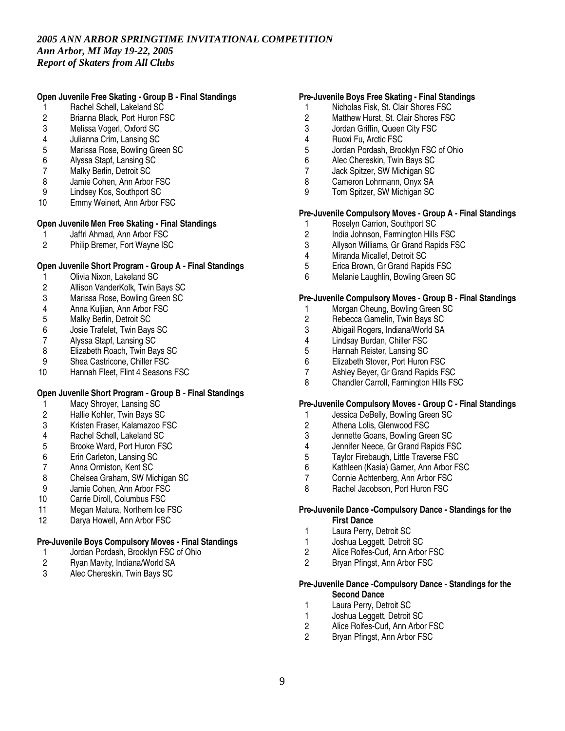## **Open Juvenile Free Skating - Group B - Final Standings**

- 1 Rachel Schell, Lakeland SC
- 2 Brianna Black, Port Huron FSC<br>3 Melissa Vogerl. Oxford SC
- 3 Melissa Vogerl, Oxford SC
- 4 Julianna Crim, Lansing SC
- 5 Marissa Rose, Bowling Green SC<br>6 Alvssa Stapf. Lansing SC
- 6 Alyssa Stapf, Lansing SC
- 7 Malky Berlin, Detroit SC
- 8 Jamie Cohen, Ann Arbor FSC
- 
- 9 Lindsey Kos, Southport SC<br>10 Emmy Weinert, Ann Arbor F Emmy Weinert, Ann Arbor FSC

## **Open Juvenile Men Free Skating - Final Standings**

- 1 Jaffri Ahmad, Ann Arbor FSC<br>2 Philip Bremer. Fort Wavne ISO
- 2 Philip Bremer, Fort Wayne ISC

## **Open Juvenile Short Program - Group A - Final Standings**

- 1 Olivia Nixon, Lakeland SC
- 2 Allison VanderKolk, Twin Bays SC
- 3 Marissa Rose, Bowling Green SC
- 4 Anna Kuljian, Ann Arbor FSC<br>5 Malky Berlin. Detroit SC
- 
- 5 Malky Berlin, Detroit SC<br>6 Josie Trafelet, Twin Bay 6 Josie Trafelet, Twin Bays SC
- 7 Alyssa Stapf, Lansing SC<br>8 Elizabeth Roach, Twin Ba
- Elizabeth Roach, Twin Bays SC
- 9 Shea Castricone, Chiller FSC<br>10 Hannah Fleet. Flint 4 Seasons
- Hannah Fleet, Flint 4 Seasons FSC

## **Open Juvenile Short Program - Group B - Final Standings**

- 1 Macy Shroyer, Lansing SC<br>2 Hallie Kohler, Twin Bays SC
- 2 Hallie Kohler, Twin Bays SC
- 3 Kristen Fraser, Kalamazoo FSC
- 4 Rachel Schell, Lakeland SC<br>5 Brooke Ward. Port Huron FS
- 5 Brooke Ward, Port Huron FSC<br>6 Erin Carleton, Lansing SC
- 6 Erin Carleton, Lansing SC
- 7 Anna Ormiston, Kent SC<br>8 Chelsea Graham. SW Mi
- 8 Chelsea Graham, SW Michigan SC<br>9 Jamie Cohen. Ann Arbor FSC
- Jamie Cohen, Ann Arbor FSC
- 10 Carrie Diroll, Columbus FSC
- 11 Megan Matura, Northern Ice FSC
- 12 Darya Howell, Ann Arbor FSC

## **Pre-Juvenile Boys Compulsory Moves - Final Standings**

- 1 Jordan Pordash, Brooklyn FSC of Ohio<br>2 Ryan Mavity, Indiana/World SA
- 2 Ryan Mavity, Indiana/World SA<br>3 Alec Chereskin. Twin Bavs SC
- Alec Chereskin, Twin Bays SC

## **Pre-Juvenile Boys Free Skating - Final Standings**

- 1 Nicholas Fisk, St. Clair Shores FSC
- 2 Matthew Hurst, St. Clair Shores FSC<br>3 Jordan Griffin. Queen City FSC
- 3 Jordan Griffin, Queen City FSC
- 4 Ruoxi Fu, Arctic FSC
- 5 Jordan Pordash, Brooklyn FSC of Ohio<br>6 Alec Chereskin. Twin Bavs SC
- 6 Alec Chereskin, Twin Bays SC
- 7 Jack Spitzer, SW Michigan SC
- 8 Cameron Lohrmann, Onyx SA
- 9 Tom Spitzer, SW Michigan SC

## **Pre-Juvenile Compulsory Moves - Group A - Final Standings**

- 1 Roselyn Carrion, Southport SC<br>2 India Johnson. Farmington Hills
- 2 India Johnson, Farmington Hills FSC<br>3 Allyson Williams. Gr Grand Rapids F
- Allyson Williams, Gr Grand Rapids FSC
- 4 Miranda Micallef, Detroit SC<br>5 Erica Brown, Gr Grand Rapic
- 5 Erica Brown, Gr Grand Rapids FSC
- 6 Melanie Laughlin, Bowling Green SC

#### **Pre-Juvenile Compulsory Moves - Group B - Final Standings**

- 1 Morgan Cheung, Bowling Green SC<br>2 Rebecca Gamelin. Twin Bavs SC
- 2 Rebecca Gamelin, Twin Bays SC<br>3 Abigail Rogers, Indiana/World SA
- 3 Abigail Rogers, Indiana/World SA<br>4 Lindsav Burdan. Chiller FSC
- Lindsay Burdan, Chiller FSC
- 5 Hannah Reister, Lansing SC
- 6 Elizabeth Stover, Port Huron FSC<br>7 Ashlev Bever. Gr Grand Rapids F.
- 7 Ashley Beyer, Gr Grand Rapids FSC<br>8 Chandler Carroll. Farmington Hills FS
- 8 Chandler Carroll, Farmington Hills FSC

#### **Pre-Juvenile Compulsory Moves - Group C - Final Standings**

- 1 Jessica DeBelly, Bowling Green SC
- 2 Athena Lolis, Glenwood FSC
- 3 Jennette Goans, Bowling Green SC<br>4 Jennifer Neece Gr Grand Banids FS
- 4 Jennifer Neece, Gr Grand Rapids FSC<br>5 Taylor Firebaugh, Little Traverse FSC
- 5 Taylor Firebaugh, Little Traverse FSC
- 6 Kathleen (Kasia) Garner, Ann Arbor FSC
- 7 Connie Achtenberg, Ann Arbor FSC<br>8 Rachel Jacobson. Port Huron FSC
- Rachel Jacobson, Port Huron FSC

#### **Pre-Juvenile Dance -Compulsory Dance - Standings for the First Dance**

- 1 Laura Perry, Detroit SC
- 1 Joshua Leggett, Detroit SC<br>2 Alice Rolfes-Curl Ann Arbo
- Alice Rolfes-Curl, Ann Arbor FSC
- 2 Bryan Pfingst, Ann Arbor FSC

### **Pre-Juvenile Dance -Compulsory Dance - Standings for the Second Dance**

- 1 Laura Perry, Detroit SC
- 
- 1 Joshua Leggett, Detroit SC<br>2 Alice Rolfes-Curl. Ann Arbo Alice Rolfes-Curl, Ann Arbor FSC
- 2 Bryan Pfingst, Ann Arbor FSC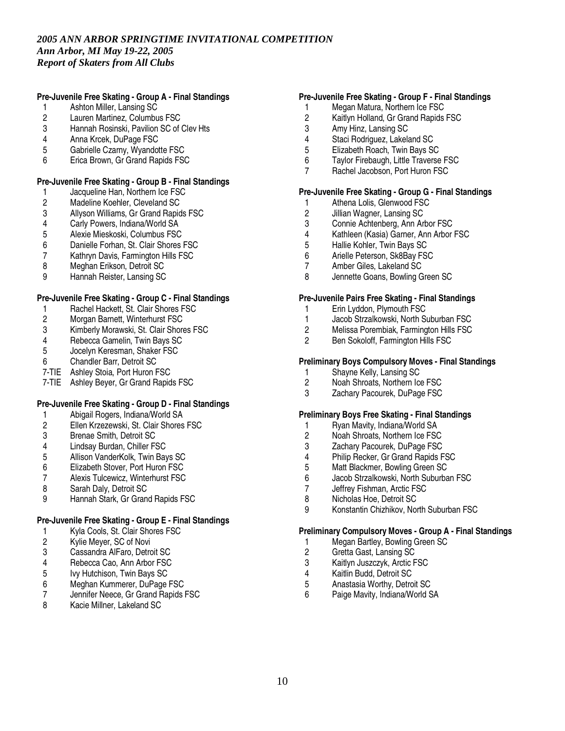## **Pre-Juvenile Free Skating - Group A - Final Standings**

- 1 Ashton Miller, Lansing SC
- 2 Lauren Martinez, Columbus FSC<br>3 Hannah Rosinski, Pavilion SC of
- Hannah Rosinski, Pavilion SC of Clev Hts
- 4 Anna Krcek, DuPage FSC
- 5 Gabrielle Czarny, Wyandotte FSC<br>6 Frica Brown, Gr Grand Rapids FSC
- Erica Brown, Gr Grand Rapids FSC

## **Pre-Juvenile Free Skating - Group B - Final Standings**

- 1 Jacqueline Han, Northern Ice FSC<br>2 Madeline Koehler, Cleveland SC
- 2 Madeline Koehler, Cleveland SC<br>3 Allyson Williams, Gr Grand Rapid
- 3 Allyson Williams, Gr Grand Rapids FSC<br>4 Carly Powers, Indiana/World SA
- 4 Carly Powers, Indiana/World SA<br>5 Alexie Mieskoski. Columbus FSC
- 5 Alexie Mieskoski, Columbus FSC<br>6 Danielle Forhan. St. Clair Shores
- Danielle Forhan, St. Clair Shores FSC
- 7 Kathryn Davis, Farmington Hills FSC<br>8 Meghan Erikson, Detroit SC
- 8 Meghan Erikson, Detroit SC
- 9 Hannah Reister, Lansing SC

## **Pre-Juvenile Free Skating - Group C - Final Standings**

- 1 Rachel Hackett, St. Clair Shores FSC<br>2 Morgan Barnett. Winterhurst FSC
- 2 Morgan Barnett, Winterhurst FSC<br>3 Kimberly Morawski, St. Clair Shor
- 3 Kimberly Morawski, St. Clair Shores FSC<br>4 Rebecca Gamelin. Twin Bavs SC
- 4 Rebecca Gamelin, Twin Bays SC<br>5 Jocelyn Keresman, Shaker FSC
- 5 Jocelyn Keresman, Shaker FSC
- 6 Chandler Barr, Detroit SC
- 7-TIE Ashley Stoia, Port Huron FSC
- 7-TIE Ashley Beyer, Gr Grand Rapids FSC

## **Pre-Juvenile Free Skating - Group D - Final Standings**

- 1 Abigail Rogers, Indiana/World SA
- 2 Ellen Krzezewski, St. Clair Shores FSC
- 3 Brenae Smith, Detroit SC<br>4 Lindsay Burdan, Chiller FS
- 
- 4 Lindsay Burdan, Chiller FSC<br>5 Allison VanderKolk, Twin Bay 5 Allison VanderKolk, Twin Bays SC
- 6 Elizabeth Stover, Port Huron FSC<br>7 Alexis Tulcewicz. Winterhurst FSC
- 7 Alexis Tulcewicz, Winterhurst FSC<br>8 Sarah Dalv. Detroit SC
- Sarah Daly, Detroit SC
- 9 Hannah Stark, Gr Grand Rapids FSC

## **Pre-Juvenile Free Skating - Group E - Final Standings**

- 1 Kyla Cools, St. Clair Shores FSC
- 2 Kylie Meyer, SC of Novi
- 3 Cassandra AlFaro, Detroit SC<br>4 Rebecca Cao, Ann Arbor FSC
- 4 Rebecca Cao, Ann Arbor FSC<br>5 Ivy Hutchison, Twin Bays SC
- 5 Ivy Hutchison, Twin Bays SC<br>6 Meghan Kummerer, DuPage
- 6 Meghan Kummerer, DuPage FSC
- Jennifer Neece, Gr Grand Rapids FSC
- 8 Kacie Millner, Lakeland SC

## **Pre-Juvenile Free Skating - Group F - Final Standings**

- 1 Megan Matura, Northern Ice FSC
- 2 Kaitlyn Holland, Gr Grand Rapids FSC<br>3 Amy Hinz. Lansing SC
- Amy Hinz, Lansing SC
- 4 Staci Rodriguez, Lakeland SC
- 5 Elizabeth Roach, Twin Bays SC<br>6 Tavlor Firebaugh, Little Traverse
- Taylor Firebaugh, Little Traverse FSC
- 7 Rachel Jacobson, Port Huron FSC

### **Pre-Juvenile Free Skating - Group G - Final Standings**

- 1 Athena Lolis, Glenwood FSC<br>2 Jillian Wagner, Lansing SC
- 2 Jillian Wagner, Lansing SC
- 3 Connie Achtenberg, Ann Arbor FSC<br>4 Kathleen (Kasia) Garner, Ann Arbor
- 4 Kathleen (Kasia) Garner, Ann Arbor FSC<br>5 Hallie Kohler. Twin Bavs SC
- 5 Hallie Kohler, Twin Bays SC
- 6 Arielle Peterson, Sk8Bay FSC
- 7 Amber Giles, Lakeland SC
- 8 Jennette Goans, Bowling Green SC

#### **Pre-Juvenile Pairs Free Skating - Final Standings**

- 1 Erin Lyddon, Plymouth FSC
- 1 Jacob Strzalkowski, North Suburban FSC
- 2 Melissa Porembiak, Farmington Hills FSC<br>2 Ben Sokoloff Farmington Hills FSC
- 2 Ben Sokoloff, Farmington Hills FSC

## **Preliminary Boys Compulsory Moves - Final Standings**

- 1 Shayne Kelly, Lansing SC<br>2 Noah Shroats, Northern Icc
- 2 Noah Shroats, Northern Ice FSC
- 3 Zachary Pacourek, DuPage FSC

#### **Preliminary Boys Free Skating - Final Standings**

- 1 Ryan Mavity, Indiana/World SA<br>2 Noah Shroats. Northern Ice FSC
- 2 Noah Shroats, Northern Ice FSC<br>3 Zachary Pacourek, DuPage FSC
- 3 Zachary Pacourek, DuPage FSC<br>4 Philip Recker, Gr Grand Rapids F
- 4 Philip Recker, Gr Grand Rapids FSC<br>5 Matt Blackmer, Bowling Green SC
- 5 Matt Blackmer, Bowling Green SC<br>6 Jacob Strzalkowski. North Suburba
- 6 Jacob Strzalkowski, North Suburban FSC
- Jeffrey Fishman, Arctic FSC
- 8 Nicholas Hoe, Detroit SC
- 9 Konstantin Chizhikov, North Suburban FSC

## **Preliminary Compulsory Moves - Group A - Final Standings**

- 1 Megan Bartley, Bowling Green SC<br>2 Gretta Gast, Lansing SC
- Gretta Gast, Lansing SC
- 3 Kaitlyn Juszczyk, Arctic FSC<br>4 Kaitlin Budd. Detroit SC
- 4 Kaitlin Budd, Detroit SC<br>5 Anastasia Worthy, Detro
- 5 Anastasia Worthy, Detroit SC
- 6 Paige Mavity, Indiana/World SA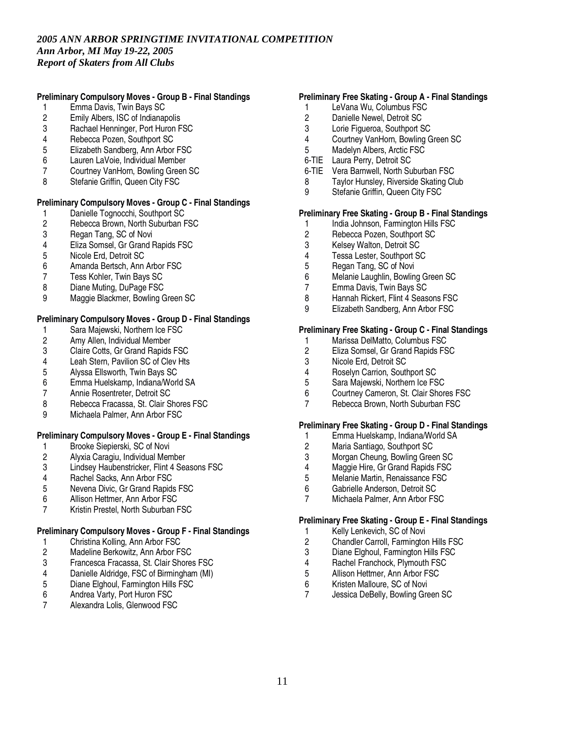## **Preliminary Compulsory Moves - Group B - Final Standings**

- 1 Emma Davis, Twin Bays SC
- 2 Emily Albers, ISC of Indianapolis<br>3 Rachael Henninger. Port Huron F
- Rachael Henninger, Port Huron FSC
- 4 Rebecca Pozen, Southport SC
- 5 Elizabeth Sandberg, Ann Arbor FSC<br>6 Lauren LaVoie, Individual Member
- Lauren LaVoie, Individual Member
- 7 Courtney VanHorn, Bowling Green SC
- 8 Stefanie Griffin, Queen City FSC

## **Preliminary Compulsory Moves - Group C - Final Standings**

- 1 Danielle Tognocchi, Southport SC<br>2 Rebecca Brown, North Suburban F
- 2 Rebecca Brown, North Suburban FSC<br>3 Regan Tang. SC of Novi
- 3 Regan Tang, SC of Novi<br>4 Eliza Somsel. Gr Grand F
- 4 Eliza Somsel, Gr Grand Rapids FSC<br>5 Nicole Erd. Detroit SC
- 5 Nicole Erd, Detroit SC<br>6 Amanda Bertsch, Ann
- 6 Amanda Bertsch, Ann Arbor FSC<br>7 Tess Kohler, Twin Bays SC
- 7 Tess Kohler, Twin Bays SC
- 8 Diane Muting, DuPage FSC
- 9 Maggie Blackmer, Bowling Green SC

### **Preliminary Compulsory Moves - Group D - Final Standings**

- 1 Sara Majewski, Northern Ice FSC<br>2 Amy Allen, Individual Member
- 2 Amy Allen, Individual Member<br>3 Claire Cotts, Gr Grand Rapids
- 3 Claire Cotts, Gr Grand Rapids FSC
- 4 Leah Stern, Pavilion SC of Clev Hts<br>5 Alvssa Ellsworth. Twin Bavs SC
- 5 Alyssa Ellsworth, Twin Bays SC<br>6 Emma Huelskamp, Indiana/Worl
- 6 Emma Huelskamp, Indiana/World SA
- 7 Annie Rosentreter, Detroit SC
- 8 Rebecca Fracassa, St. Clair Shores FSC
- 9 Michaela Palmer, Ann Arbor FSC

## **Preliminary Compulsory Moves - Group E - Final Standings**

- 
- 1 Brooke Siepierski, SC of Novi<br>2 Alyxia Caragiu, Individual Men
- 2 Alyxia Caragiu, Individual Member<br>3 Lindsey Haubenstricker, Flint 4 Sea 3 Lindsey Haubenstricker, Flint 4 Seasons FSC
- 
- 4 Rachel Sacks, Ann Arbor FSC<br>5 Nevena Divic. Gr Grand Rapid 5 Nevena Divic, Gr Grand Rapids FSC
- 6 Allison Hettmer, Ann Arbor FSC
- 7 Kristin Prestel, North Suburban FSC

#### **Preliminary Compulsory Moves - Group F - Final Standings**

- 
- 1 Christina Kolling, Ann Arbor FSC<br>2 Madeline Berkowitz, Ann Arbor FS 2 Madeline Berkowitz, Ann Arbor FSC<br>3 Francesca Fracassa, St. Clair Shore
- 3 Francesca Fracassa, St. Clair Shores FSC
- 4 Danielle Aldridge, FSC of Birmingham (MI)<br>5 Diane Elghoul, Farmington Hills FSC
- 5 Diane Elghoul, Farmington Hills FSC
- 6 Andrea Varty, Port Huron FSC
- 7 Alexandra Lolis, Glenwood FSC

## **Preliminary Free Skating - Group A - Final Standings**

- 1 LeVana Wu, Columbus FSC
- 2 Danielle Newel, Detroit SC<br>3 Lorie Figueroa, Southport S
- Lorie Figueroa, Southport SC
- 4 Courtney VanHorn, Bowling Green SC
- 5 Madelyn Albers, Arctic FSC
- 6-TIE Laura Perry, Detroit SC
- 6-TIE Vera Barnwell, North Suburban FSC
- 8 Taylor Hunsley, Riverside Skating Club
- 9 Stefanie Griffin, Queen City FSC

## **Preliminary Free Skating - Group B - Final Standings**

- 1 India Johnson, Farmington Hills FSC<br>2 Rebecca Pozen. Southport SC
- 2 Rebecca Pozen, Southport SC<br>3 Kelsev Walton. Detroit SC
- 3 Kelsey Walton, Detroit SC
- 4 Tessa Lester, Southport SC<br>5 Regan Tang, SC of Novi
- 5 Regan Tang, SC of Novi
- 6 Melanie Laughlin, Bowling Green SC
- 7 Emma Davis, Twin Bays SC
- 8 Hannah Rickert, Flint 4 Seasons FSC
- 9 Elizabeth Sandberg, Ann Arbor FSC

## **Preliminary Free Skating - Group C - Final Standings**

- 1 Marissa DelMatto, Columbus FSC<br>2 Eliza Somsel, Gr Grand Rapids FS
- 2 Eliza Somsel, Gr Grand Rapids FSC
- 3 Nicole Erd, Detroit SC<br>4 Boselyn Carrion South
- 4 Roselyn Carrion, Southport SC<br>5 Sara Maiewski. Northern Ice FS
- 5 Sara Majewski, Northern Ice FSC
- 6 Courtney Cameron, St. Clair Shores FSC<br>7 Rebecca Brown, North Suburban FSC
- Rebecca Brown, North Suburban FSC

#### **Preliminary Free Skating - Group D - Final Standings**

- 1 Emma Huelskamp, Indiana/World SA<br>2 Maria Santiago. Southport SC
- 2 Maria Santiago, Southport SC
- Morgan Cheung, Bowling Green SC
- 4 Maggie Hire, Gr Grand Rapids FSC<br>5 Melanie Martin, Renaissance FSC
- 5 Melanie Martin, Renaissance FSC<br>6 Gabrielle Anderson. Detroit SC
- 6 Gabrielle Anderson, Detroit SC
- 7 Michaela Palmer, Ann Arbor FSC

## **Preliminary Free Skating - Group E - Final Standings**

- 1 Kelly Lenkevich, SC of Novi
- 2 Chandler Carroll, Farmington Hills FSC<br>3 Diane Elghoul. Farmington Hills FSC
- 3 Diane Elghoul, Farmington Hills FSC<br>4 Rachel Franchock, Plymouth FSC
- 4 Rachel Franchock, Plymouth FSC<br>5 Allison Hettmer. Ann Arbor FSC
- 5 Allison Hettmer, Ann Arbor FSC<br>6 Kristen Malloure, SC of Novi
- 6 Kristen Malloure, SC of Novi<br>7 Jessica DeBelly, Bowling Gre
- Jessica DeBelly, Bowling Green SC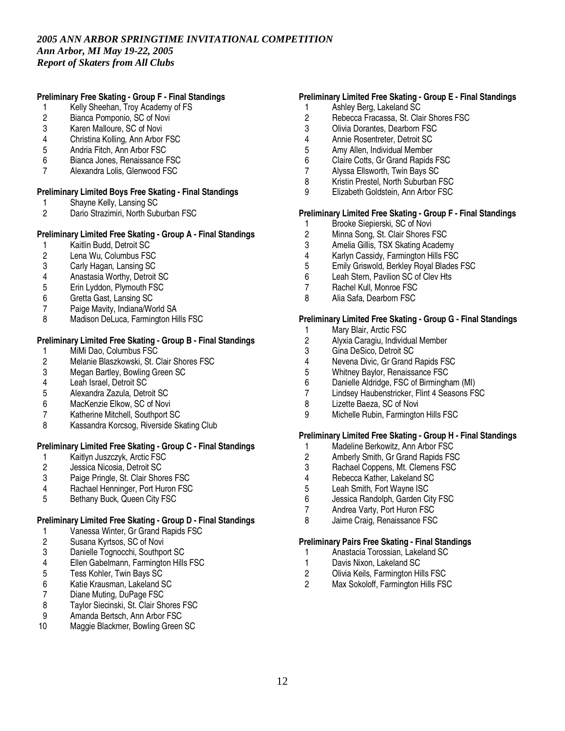## **Preliminary Free Skating - Group F - Final Standings**

- 1 Kelly Sheehan, Troy Academy of FS
- 2 Bianca Pomponio, SC of Novi<br>3 Karen Malloure, SC of Novi
- Karen Malloure, SC of Novi
- 4 Christina Kolling, Ann Arbor FSC
- 5 Andria Fitch, Ann Arbor FSC<br>6 Bianca Jones, Renaissance I
- Bianca Jones, Renaissance FSC
- 7 Alexandra Lolis, Glenwood FSC

## **Preliminary Limited Boys Free Skating - Final Standings**

- 1 Shayne Kelly, Lansing SC<br>2 Dario Strazimiri, North Sub
- Dario Strazimiri, North Suburban FSC

## **Preliminary Limited Free Skating - Group A - Final Standings**

- 1 Kaitlin Budd, Detroit SC<br>2 Lena Wu. Columbus FS
- 2 Lena Wu, Columbus FSC<br>3 Carly Hagan, Lansing SC
- Carly Hagan, Lansing SC
- 4 Anastasia Worthy, Detroit SC<br>5 Erin Lyddon, Plymouth FSC
- 5 Erin Lyddon, Plymouth FSC
- 6 Gretta Gast, Lansing SC
- 7 Paige Mavity, Indiana/World SA
- 8 Madison DeLuca, Farmington Hills FSC

## **Preliminary Limited Free Skating - Group B - Final Standings**

- 
- 1 MiMi Dao, Columbus FSC<br>2 Melanie Blaszkowski, St. 0 2 Melanie Blaszkowski, St. Clair Shores FSC<br>3 Megan Bartlev. Bowling Green SC
- 3 Megan Bartley, Bowling Green SC<br>4 Leah Israel, Detroit SC
- Leah Israel, Detroit SC
- 5 Alexandra Zazula, Detroit SC
- 6 MacKenzie Elkow, SC of Novi
- 7 Katherine Mitchell, Southport SC
- 8 Kassandra Korcsog, Riverside Skating Club

## **Preliminary Limited Free Skating - Group C - Final Standings**

- 1 Kaitlyn Juszczyk, Arctic FSC<br>2 Jessica Nicosia, Detroit SC
- 2 Jessica Nicosia, Detroit SC<br>3 Paige Pringle, St. Clair Shor
- 3 Paige Pringle, St. Clair Shores FSC<br>4 Rachael Henninger. Port Huron FSC
- Rachael Henninger, Port Huron FSC
- 5 Bethany Buck, Queen City FSC

## **Preliminary Limited Free Skating - Group D - Final Standings**

- 1 Vanessa Winter, Gr Grand Rapids FSC
- 2 Susana Kyrtsos, SC of Novi
- 3 Danielle Tognocchi, Southport SC<br>4 Ellen Gabelmann, Farmington Hills
- Ellen Gabelmann, Farmington Hills FSC
- 5 Tess Kohler, Twin Bays SC<br>6 Katie Krausman, Lakeland S
- 6 Katie Krausman, Lakeland SC
- 7 Diane Muting, DuPage FSC<br>8 Tavlor Siecinski, St. Clair Sh
- 8 Taylor Siecinski, St. Clair Shores FSC<br>9 Amanda Bertsch. Ann Arbor FSC
- 9 Amanda Bertsch, Ann Arbor FSC<br>10 Maggie Blackmer, Bowling Green
- Maggie Blackmer, Bowling Green SC

## **Preliminary Limited Free Skating - Group E - Final Standings**

- 1 Ashley Berg, Lakeland SC
- 2 Rebecca Fracassa, St. Clair Shores FSC<br>3 Olivia Dorantes. Dearborn FSC
- 3 Olivia Dorantes, Dearborn FSC
- 4 Annie Rosentreter, Detroit SC
- 5 Amy Allen, Individual Member<br>6 Claire Cotts. Gr Grand Rapids
- 6 Claire Cotts, Gr Grand Rapids FSC
- 7 Alyssa Ellsworth, Twin Bays SC
- 8 Kristin Prestel, North Suburban FSC
- 9 Elizabeth Goldstein, Ann Arbor FSC

# **Preliminary Limited Free Skating - Group F - Final Standings**

- 1 Brooke Siepierski, SC of Novi<br>2 Minna Song, St. Clair Shores I
- 2 Minna Song, St. Clair Shores FSC<br>3 Amelia Gillis. TSX Skating Academ
- Amelia Gillis, TSX Skating Academy
- 4 Karlyn Cassidy, Farmington Hills FSC<br>5 Emily Griswold, Berkley Royal Blades
- 5 Emily Griswold, Berkley Royal Blades FSC
- 6 Leah Stern, Pavilion SC of Clev Hts
- 7 Rachel Kull, Monroe FSC
- 8 Alia Safa, Dearborn FSC

## **Preliminary Limited Free Skating - Group G - Final Standings**

- 
- 1 Mary Blair, Arctic FSC<br>2 Alyxia Caragiu, Individi 2 Alyxia Caragiu, Individual Member<br>3 Gina DeSico, Detroit SC
- 3 Gina DeSico, Detroit SC
- 4 Nevena Divic, Gr Grand Rapids FSC<br>5 Whitnev Bavlor. Renaissance FSC
- 5 Whitney Baylor, Renaissance FSC<br>6 Danielle Aldridge. FSC of Birmingha
- Danielle Aldridge, FSC of Birmingham (MI)
- 7 Lindsey Haubenstricker, Flint 4 Seasons FSC
- 8 Lizette Baeza, SC of Novi
- 9 Michelle Rubin, Farmington Hills FSC

## **Preliminary Limited Free Skating - Group H - Final Standings**

- 1 Madeline Berkowitz, Ann Arbor FSC<br>2 Amberly Smith, Gr Grand Rapids FS
- 2 Amberly Smith, Gr Grand Rapids FSC<br>3 Rachael Coppens. Mt. Clemens FSC
- 3 Rachael Coppens, Mt. Clemens FSC<br>4 Rebecca Kather, Lakeland SC
- 4 Rebecca Kather, Lakeland SC<br>5 Leah Smith, Fort Wavne ISC
- Leah Smith, Fort Wayne ISC
- 6 Jessica Randolph, Garden City FSC
- 7 Andrea Varty, Port Huron FSC
- 8 Jaime Craig, Renaissance FSC

#### **Preliminary Pairs Free Skating - Final Standings**

- 1 Anastacia Torossian, Lakeland SC
- 1 Davis Nixon, Lakeland SC
- 2 Olivia Keils, Farmington Hills FSC<br>2 Max Sokoloff Farmington Hills FS
- Max Sokoloff, Farmington Hills FSC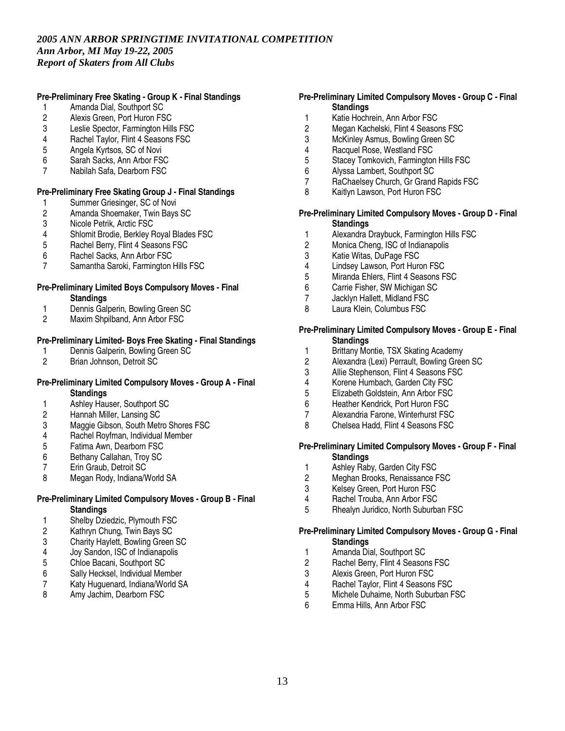## **Pre-Preliminary Free Skating - Group K - Final Standings**

- 1 Amanda Dial, Southport SC
- 2 Alexis Green, Port Huron FSC<br>3 Leslie Spector. Farmington Hill
- Leslie Spector, Farmington Hills FSC
- 4 Rachel Taylor, Flint 4 Seasons FSC
- 5 Angela Kyrtsos, SC of Novi<br>6 Sarah Sacks. Ann Arbor FS
- Sarah Sacks, Ann Arbor FSC
- 7 Nabilah Safa, Dearborn FSC

#### **Pre-Preliminary Free Skating Group J - Final Standings**

- 1 Summer Griesinger, SC of Novi<br>2 Amanda Shoemaker, Twin Bays
- 2 Amanda Shoemaker, Twin Bays SC<br>3 Nicole Petrik, Arctic FSC
- 3 Nicole Petrik, Arctic FSC<br>4 Shlomit Brodie. Berklev F
- 4 Shlomit Brodie, Berkley Royal Blades FSC<br>5 Rachel Berry, Flint 4 Seasons FSC
- 5 Rachel Berry, Flint 4 Seasons FSC
- 6 Rachel Sacks, Ann Arbor FSC<br>7 Samantha Saroki, Farmington
- 7 Samantha Saroki, Farmington Hills FSC

#### **Pre-Preliminary Limited Boys Compulsory Moves - Final Standings**

- 
- 1 Dennis Galperin, Bowling Green SC<br>2 Maxim Shpilband. Ann Arbor FSC
- Maxim Shpilband, Ann Arbor FSC

# **Pre-Preliminary Limited- Boys Free Skating - Final Standings**

- 1 Dennis Galperin, Bowling Green SC<br>2 Brian Johnson. Detroit SC
- 2 Brian Johnson, Detroit SC

#### **Pre-Preliminary Limited Compulsory Moves - Group A - Final Standings**

- 1 Ashley Hauser, Southport SC
- 2 Hannah Miller, Lansing SC
- 3 Maggie Gibson, South Metro Shores FSC
- 4 Rachel Royfman, Individual Member<br>5 Fatima Awn. Dearborn FSC
- 5 Fatima Awn, Dearborn FSC<br>6 Bethany Callahan, Troy SC
- 6 Bethany Callahan, Troy SC<br>7 Erin Graub. Detroit SC
- 7 Erin Graub, Detroit SC<br>8 Megan Rody, Indiana/V
- Megan Rody, Indiana/World SA

## **Pre-Preliminary Limited Compulsory Moves - Group B - Final Standings**

- 1 Shelby Dziedzic, Plymouth FSC<br>2 Kathrvn Chung. Twin Bays SC
- 2 Kathryn Chung, Twin Bays SC
- 3 Charity Haylett, Bowling Green SC<br>4 Jov Sandon, ISC of Indianapolis
- 4 Joy Sandon, ISC of Indianapolis
- 5 Chloe Bacani, Southport SC
- 6 Sally Hecksel, Individual Member<br>7 Katy Huguenard, Indiana/World S
- Katy Huguenard, Indiana/World SA
- 8 Amy Jachim, Dearborn FSC

## **Pre-Preliminary Limited Compulsory Moves - Group C - Final Standings**

- 1 Katie Hochrein, Ann Arbor FSC<br>2 Megan Kachelski, Flint 4 Seasor
- Megan Kachelski, Flint 4 Seasons FSC
- 3 McKinley Asmus, Bowling Green SC
- 4 Racquel Rose, Westland FSC<br>5 Stacev Tomkovich, Farmingtor
- 5 Stacey Tomkovich, Farmington Hills FSC
- 6 Alyssa Lambert, Southport SC
- 7 RaChaelsey Church, Gr Grand Rapids FSC
- 8 Kaitlyn Lawson, Port Huron FSC

### **Pre-Preliminary Limited Compulsory Moves - Group D - Final Standings**

- 1 Alexandra Draybuck, Farmington Hills FSC<br>2 Monica Cheng. ISC of Indianapolis
- Monica Cheng, ISC of Indianapolis
- 3 Katie Witas, DuPage FSC<br>4 Lindsey Lawson, Port Hurg
- 
- 4 Lindsey Lawson, Port Huron FSC<br>5 Miranda Ehlers, Flint 4 Seasons F Miranda Ehlers, Flint 4 Seasons FSC
- 6 Carrie Fisher, SW Michigan SC
- 7 Jacklyn Hallett, Midland FSC<br>8 Laura Klein, Columbus FSC
- Laura Klein, Columbus FSC

### **Pre-Preliminary Limited Compulsory Moves - Group E - Final Standings**

- 1 Brittany Montie, TSX Skating Academy
- 2 Alexandra (Lexi) Perrault, Bowling Green SC
- 3 Allie Stephenson, Flint 4 Seasons FSC<br>4 Korene Humbach. Garden City FSC
- 4 Korene Humbach, Garden City FSC<br>5 Elizabeth Goldstein. Ann Arbor FSC
- 5 Elizabeth Goldstein, Ann Arbor FSC
- 6 Heather Kendrick, Port Huron FSC
- 7 Alexandria Farone, Winterhurst FSC
- 8 Chelsea Hadd, Flint 4 Seasons FSC

### **Pre-Preliminary Limited Compulsory Moves - Group F - Final Standings**

- 1 Ashley Raby, Garden City FSC<br>2 Meghan Brooks, Renaissance F
- 2 Meghan Brooks, Renaissance FSC<br>3 Kelsev Green. Port Huron FSC
- 3 Kelsey Green, Port Huron FSC
- 4 Rachel Trouba, Ann Arbor FSC
- 5 Rhealyn Juridico, North Suburban FSC

#### **Pre-Preliminary Limited Compulsory Moves - Group G - Final Standings**

- 1 Amanda Dial, Southport SC
- 2 Rachel Berry, Flint 4 Seasons FSC
- 3 Alexis Green, Port Huron FSC<br>4 Rachel Taylor Flint 4 Seasons
- 4 Rachel Taylor, Flint 4 Seasons FSC<br>5 Michele Duhaime, North Suburban F
- 5 Michele Duhaime, North Suburban FSC
- 6 Emma Hills, Ann Arbor FSC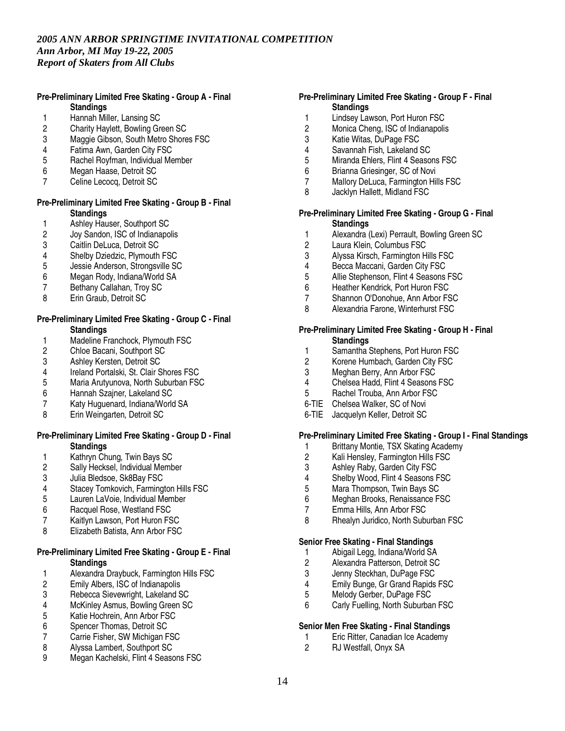## **Pre-Preliminary Limited Free Skating - Group A - Final Standings**

- 1 Hannah Miller, Lansing SC<br>2 Charity Haylett, Bowling Gre
- 2 Charity Haylett, Bowling Green SC
- 3 Maggie Gibson, South Metro Shores FSC
- 4 Fatima Awn, Garden City FSC<br>5 Rachel Rovfman, Individual Me
- 5 Rachel Royfman, Individual Member
- 6 Megan Haase, Detroit SC
- 7 Celine Lecocq, Detroit SC

## **Pre-Preliminary Limited Free Skating - Group B - Final Standings**

- 1 Ashley Hauser, Southport SC<br>2 Joy Sandon, ISC of Indianapo
- 2 Joy Sandon, ISC of Indianapolis<br>3 Caitlin DeLuca, Detroit SC
- Caitlin DeLuca, Detroit SC
- 4 Shelby Dziedzic, Plymouth FSC<br>5 Jessie Anderson. Strongsville SQ
- 5 Jessie Anderson, Strongsville SC
- 6 Megan Rody, Indiana/World SA
- 7 Bethany Callahan, Troy SC
- 8 Erin Graub, Detroit SC

## **Pre-Preliminary Limited Free Skating - Group C - Final Standings**

- 1 Madeline Franchock, Plymouth FSC<br>2 Chloe Bacani, Southport SC
- 2 Chloe Bacani, Southport SC
- 3 Ashley Kersten, Detroit SC<br>4 Ireland Portalski, St. Clair S
- 4 Ireland Portalski, St. Clair Shores FSC<br>5 Maria Arutyunova. North Suburban FSC
- 5 Maria Arutyunova, North Suburban FSC
- 6 Hannah Szajner, Lakeland SC
- 7 Katy Huguenard, Indiana/World SA
- 8 Erin Weingarten, Detroit SC

#### **Pre-Preliminary Limited Free Skating - Group D - Final Standings**

- 1 Kathryn Chung, Twin Bays SC<br>2 Sally Hecksel, Individual Memb
- 2 Sally Hecksel, Individual Member<br>3 Julia Bledsoe. Sk8Bav FSC
- 3 Julia Bledsoe, Sk8Bay FSC<br>4 Stacev Tomkovich, Farming
- 4 Stacey Tomkovich, Farmington Hills FSC<br>5 Lauren LaVoie. Individual Member
- Lauren LaVoie, Individual Member
- 6 Racquel Rose, Westland FSC<br>7 Kaitlyn Lawson. Port Huron FS
- Kaitlyn Lawson, Port Huron FSC
- 8 Elizabeth Batista, Ann Arbor FSC

#### **Pre-Preliminary Limited Free Skating - Group E - Final Standings**

- 1 Alexandra Draybuck, Farmington Hills FSC<br>2 Emily Albers. ISC of Indianapolis
- 2 Emily Albers, ISC of Indianapolis<br>3 Rebecca Sievewright, Lakeland S
- Rebecca Sievewright, Lakeland SC
- 4 McKinley Asmus, Bowling Green SC<br>5 Katie Hochrein. Ann Arbor FSC
- 5 Katie Hochrein, Ann Arbor FSC<br>6 Spencer Thomas. Detroit SC
- Spencer Thomas, Detroit SC
- 7 Carrie Fisher, SW Michigan FSC<br>8 Alvssa Lambert. Southport SC
- Alyssa Lambert, Southport SC
- 9 Megan Kachelski, Flint 4 Seasons FSC

## **Pre-Preliminary Limited Free Skating - Group F - Final Standings**

- 1 Lindsey Lawson, Port Huron FSC<br>2 Monica Cheng. ISC of Indianapolis
- Monica Cheng, ISC of Indianapolis
- 3 Katie Witas, DuPage FSC
- 4 Savannah Fish, Lakeland SC<br>5 Miranda Ehlers, Flint 4 Seaso
- Miranda Ehlers, Flint 4 Seasons FSC
- 6 Brianna Griesinger, SC of Novi
- 7 Mallory DeLuca, Farmington Hills FSC
- 8 Jacklyn Hallett, Midland FSC

### **Pre-Preliminary Limited Free Skating - Group G - Final Standings**

- 1 Alexandra (Lexi) Perrault, Bowling Green SC
- Laura Klein, Columbus FSC
- 3 Alyssa Kirsch, Farmington Hills FSC<br>4 Becca Maccani, Garden City FSC
- 4 Becca Maccani, Garden City FSC<br>5 Allie Stephenson, Flint 4 Seasons
- 5 Allie Stephenson, Flint 4 Seasons FSC
- 6 Heather Kendrick, Port Huron FSC
- 7 Shannon O'Donohue, Ann Arbor FSC
- 8 Alexandria Farone, Winterhurst FSC

### **Pre-Preliminary Limited Free Skating - Group H - Final Standings**

- 1 Samantha Stephens, Port Huron FSC
- 2 Korene Humbach, Garden City FSC<br>3 Meghan Berry, Ann Arbor FSC
- 3 Meghan Berry, Ann Arbor FSC<br>4 Chelsea Hadd Flint 4 Seasons
- 4 Chelsea Hadd, Flint 4 Seasons FSC
- 5 Rachel Trouba, Ann Arbor FSC
- 6-TIE Chelsea Walker, SC of Novi
- 6-TIE Jacquelyn Keller, Detroit SC

## **Pre-Preliminary Limited Free Skating - Group I - Final Standings**

- 1 Brittany Montie, TSX Skating Academy<br>2 Kali Hensley, Farmington Hills FSC
- 2 Kali Hensley, Farmington Hills FSC<br>3 Ashlev Raby, Garden City FSC
- 3 Ashley Raby, Garden City FSC<br>4 Shelby Wood. Flint 4 Seasons F
- 4 Shelby Wood, Flint 4 Seasons FSC<br>5 Mara Thompson. Twin Bays SC
- 5 Mara Thompson, Twin Bays SC
- 6 Meghan Brooks, Renaissance FSC
- 7 Emma Hills, Ann Arbor FSC
- 8 Rhealyn Juridico, North Suburban FSC

#### **Senior Free Skating - Final Standings**

- 1 Abigail Legg, Indiana/World SA<br>2 Alexandra Patterson, Detroit SC
- 2 Alexandra Patterson, Detroit SC<br>3 Jenny Steckhan, DuPage FSC
- 3 Jenny Steckhan, DuPage FSC<br>4 Emily Bunge. Gr Grand Rapids
- 4 Emily Bunge, Gr Grand Rapids FSC<br>5 Melody Gerber, DuPage FSC
- Melody Gerber, DuPage FSC
- 6 Carly Fuelling, North Suburban FSC

#### **Senior Men Free Skating - Final Standings**

- 1 Eric Ritter, Canadian Ice Academy<br>2 RJ Westfall, Onvx SA
	- RJ Westfall, Onyx SA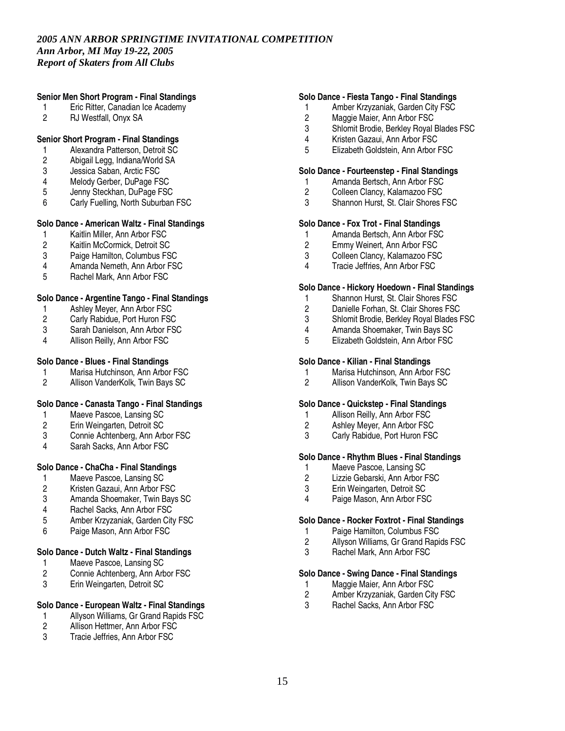## **Senior Men Short Program - Final Standings**

- 1 Eric Ritter, Canadian Ice Academy
- 2 RJ Westfall, Onyx SA

## **Senior Short Program - Final Standings**

- 1 Alexandra Patterson, Detroit SC<br>2 Abigail Legg, Indiana/World SA
- 2 Abigail Legg, Indiana/World SA
- 3 Jessica Saban, Arctic FSC
- 4 Melody Gerber, DuPage FSC
- 5 Jenny Steckhan, DuPage FSC
- 6 Carly Fuelling, North Suburban FSC

# **Solo Dance - American Waltz - Final Standings**

- 1 Kaitlin Miller, Ann Arbor FSC<br>2 Kaitlin McCormick. Detroit SC
- 2 Kaitlin McCormick, Detroit SC
- 3 Paige Hamilton, Columbus FSC<br>4 Amanda Nemeth, Ann Arbor FSC
- 4 Amanda Nemeth, Ann Arbor FSC<br>5 Rachel Mark. Ann Arbor FSC
- 5 Rachel Mark, Ann Arbor FSC

## **Solo Dance - Argentine Tango - Final Standings**

- 1 Ashley Meyer, Ann Arbor FSC<br>2 Carly Rabidue. Port Huron FSC
- 2 Carly Rabidue, Port Huron FSC<br>3 Sarah Danielson. Ann Arbor FSC
- 3 Sarah Danielson, Ann Arbor FSC<br>4 Allison Reilly, Ann Arbor FSC
- Allison Reilly, Ann Arbor FSC

## **Solo Dance - Blues - Final Standings**

- 1 Marisa Hutchinson, Ann Arbor FSC<br>2 Allison VanderKolk. Twin Bays SC
- 2 Allison VanderKolk, Twin Bays SC

# **Solo Dance - Canasta Tango - Final Standings**

- 1 Maeve Pascoe, Lansing SC
- 2 Erin Weingarten, Detroit SC
- 3 Connie Achtenberg, Ann Arbor FSC<br>4 Sarah Sacks Ann Arbor FSC
- Sarah Sacks, Ann Arbor FSC

## **Solo Dance - ChaCha - Final Standings**

- 1 Maeve Pascoe, Lansing SC<br>2 Kristen Gazaui. Ann Arbor F
- 2 Kristen Gazaui, Ann Arbor FSC
- 3 Amanda Shoemaker, Twin Bays SC
- 4 Rachel Sacks, Ann Arbor FSC
- 5 Amber Krzyzaniak, Garden City FSC
- 6 Paige Mason, Ann Arbor FSC

## **Solo Dance - Dutch Waltz - Final Standings**

- 1 Maeve Pascoe, Lansing SC<br>2 Connie Achtenberg, Ann Art
- 2 Connie Achtenberg, Ann Arbor FSC<br>3 Erin Weingarten. Detroit SC
- Erin Weingarten, Detroit SC

# **Solo Dance - European Waltz - Final Standings**

- 1 Allyson Williams, Gr Grand Rapids FSC<br>2 Allison Hettmer. Ann Arbor FSC
- Allison Hettmer, Ann Arbor FSC
- 3 Tracie Jeffries, Ann Arbor FSC

## **Solo Dance - Fiesta Tango - Final Standings**

- 1 Amber Krzyzaniak, Garden City FSC
- 2 Maggie Maier, Ann Arbor FSC<br>3 Shlomit Brodie. Berkley Royal
- 3 Shlomit Brodie, Berkley Royal Blades FSC
- 4 Kristen Gazaui, Ann Arbor FSC
- 5 Elizabeth Goldstein, Ann Arbor FSC

### **Solo Dance - Fourteenstep - Final Standings**

- 1 Amanda Bertsch, Ann Arbor FSC
- 2 Colleen Clancy, Kalamazoo FSC<br>3 Shannon Hurst. St. Clair Shores I
- Shannon Hurst, St. Clair Shores FSC

#### **Solo Dance - Fox Trot - Final Standings**

- 1 Amanda Bertsch, Ann Arbor FSC<br>2 Emmy Weinert. Ann Arbor FSC
- Emmy Weinert, Ann Arbor FSC
- 3 Colleen Clancy, Kalamazoo FSC<br>4 Tracie Jeffries, Ann Arbor FSC
- Tracie Jeffries, Ann Arbor FSC

#### **Solo Dance - Hickory Hoedown - Final Standings**

- 1 Shannon Hurst, St. Clair Shores FSC
- 2 Danielle Forhan, St. Clair Shores FSC
- 3 Shlomit Brodie, Berkley Royal Blades FSC<br>4 Amanda Shoemaker, Twin Bays SC
- 4 Amanda Shoemaker, Twin Bays SC<br>5 Elizabeth Goldstein, Ann Arbor FSC
- 5 Elizabeth Goldstein, Ann Arbor FSC

#### **Solo Dance - Kilian - Final Standings**

- 1 Marisa Hutchinson, Ann Arbor FSC<br>2 Allison VanderKolk. Twin Bays SC
- 2 Allison VanderKolk, Twin Bays SC

#### **Solo Dance - Quickstep - Final Standings**

- 1 Allison Reilly, Ann Arbor FSC
- 2 Ashley Meyer, Ann Arbor FSC
- 3 Carly Rabidue, Port Huron FSC

# **Solo Dance - Rhythm Blues - Final Standings**

- 1 Maeve Pascoe, Lansing SC<br>2 Lizzie Gebarski, Ann Arbor F
- 2 Lizzie Gebarski, Ann Arbor FSC<br>3 Erin Weingarten, Detroit SC
- 3 Erin Weingarten, Detroit SC
- 4 Paige Mason, Ann Arbor FSC

## **Solo Dance - Rocker Foxtrot - Final Standings**

- 1 Paige Hamilton, Columbus FSC
- 2 Allyson Williams, Gr Grand Rapids FSC<br>3 Rachel Mark Ann Arbor FSC
- Rachel Mark, Ann Arbor FSC

## **Solo Dance - Swing Dance - Final Standings**

- 1 Maggie Maier, Ann Arbor FSC<br>2 Amber Krzyzaniak, Garden Cit
- Amber Krzyzaniak, Garden City FSC
- 3 Rachel Sacks, Ann Arbor FSC